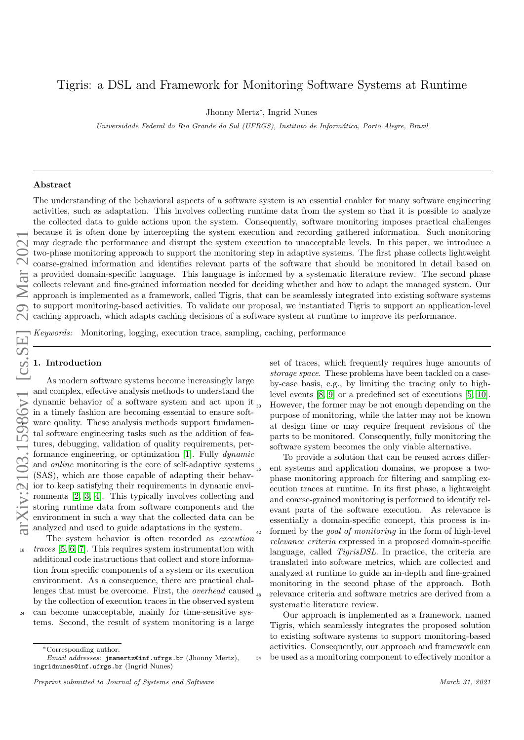# Tigris: a DSL and Framework for Monitoring Software Systems at Runtime

Jhonny Mertz<sup>∗</sup> , Ingrid Nunes

Universidade Federal do Rio Grande do Sul (UFRGS), Instituto de Informática, Porto Alegre, Brazil

#### Abstract

The understanding of the behavioral aspects of a software system is an essential enabler for many software engineering activities, such as adaptation. This involves collecting runtime data from the system so that it is possible to analyze the collected data to guide actions upon the system. Consequently, software monitoring imposes practical challenges because it is often done by intercepting the system execution and recording gathered information. Such monitoring may degrade the performance and disrupt the system execution to unacceptable levels. In this paper, we introduce a two-phase monitoring approach to support the monitoring step in adaptive systems. The first phase collects lightweight coarse-grained information and identifies relevant parts of the software that should be monitored in detail based on a provided domain-specific language. This language is informed by a systematic literature review. The second phase collects relevant and fine-grained information needed for deciding whether and how to adapt the managed system. Our approach is implemented as a framework, called Tigris, that can be seamlessly integrated into existing software systems to support monitoring-based activities. To validate our proposal, we instantiated Tigris to support an application-level caching approach, which adapts caching decisions of a software system at runtime to improve its performance.

Keywords: Monitoring, logging, execution trace, sampling, caching, performance

#### 1. Introduction

As modern software systems become increasingly large and complex, effective analysis methods to understand the dynamic behavior of a software system and act upon it in a timely fashion are becoming essential to ensure soft-<sup>6</sup> ware quality. These analysis methods support fundamental software engineering tasks such as the addition of features, debugging, validation of quality requirements, per-formance engineering, or optimization [\[1\]](#page-21-0). Fully *dynamic* and online monitoring is the core of self-adaptive systems (SAS), which are those capable of adapting their behav-<sup>12</sup> ior to keep satisfying their requirements in dynamic environments [\[2,](#page-21-1) [3,](#page-21-2) [4\]](#page-21-3). This typically involves collecting and storing runtime data from software components and the environment in such a way that the collected data can be analyzed and used to guide adaptations in the system.

The system behavior is often recorded as *execution*  $18$  traces [\[5,](#page-21-4) [6,](#page-21-5) [7\]](#page-21-6). This requires system instrumentation with additional code instructions that collect and store information from specific components of a system or its execution environment. As a consequence, there are practical challenges that must be overcome. First, the overhead caused by the collection of execution traces in the observed system <sup>24</sup> can become unacceptable, mainly for time-sensitive systems. Second, the result of system monitoring is a large

set of traces, which frequently requires huge amounts of storage space. These problems have been tackled on a caseby-case basis, e.g., by limiting the tracing only to highlevel events [\[8,](#page-21-7) [9\]](#page-21-8) or a predefined set of executions [\[5,](#page-21-4) [10\]](#page-21-9). However, the former may be not enough depending on the purpose of monitoring, while the latter may not be known at design time or may require frequent revisions of the parts to be monitored. Consequently, fully monitoring the software system becomes the only viable alternative.

To provide a solution that can be reused across differ-<sup>36</sup> ent systems and application domains, we propose a twophase monitoring approach for filtering and sampling execution traces at runtime. In its first phase, a lightweight and coarse-grained monitoring is performed to identify relevant parts of the software execution. As relevance is essentially a domain-specific concept, this process is in-<sup>42</sup> formed by the *goal of monitoring* in the form of high-level relevance criteria expressed in a proposed domain-specific language, called *TigrisDSL*. In practice, the criteria are translated into software metrics, which are collected and analyzed at runtime to guide an in-depth and fine-grained monitoring in the second phase of the approach. Both relevance criteria and software metrics are derived from a systematic literature review.

Our approach is implemented as a framework, named Tigris, which seamlessly integrates the proposed solution to existing software systems to support monitoring-based activities. Consequently, our approach and framework can <sup>54</sup> be used as a monitoring component to effectively monitor a

<sup>∗</sup>Corresponding author.

Email addresses: jmamertz@inf.ufrgs.br (Jhonny Mertz), ingridnunes@inf.ufrgs.br (Ingrid Nunes)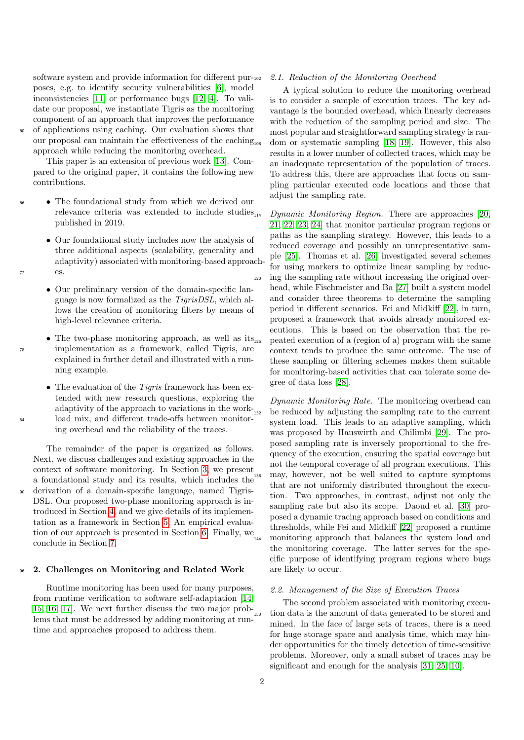software system and provide information for different purposes, e.g. to identify security vulnerabilities [\[6\]](#page-21-5), model inconsistencies [\[11\]](#page-21-10) or performance bugs [\[12,](#page-21-11) [4\]](#page-21-3). To validate our proposal, we instantiate Tigris as the monitoring component of an approach that improves the performance of applications using caching. Our evaluation shows that our proposal can maintain the effectiveness of the caching approach while reducing the monitoring overhead.

This paper is an extension of previous work [\[13\]](#page-21-12). Compared to the original paper, it contains the following new contributions.

- <sup>66</sup> The foundational study from which we derived our relevance criteria was extended to include studies $_{114}$ published in 2019.
- Our foundational study includes now the analysis of three additional aspects (scalability, generality and adaptivity) associated with monitoring-based approach-<sup>72</sup> es.
	- Our preliminary version of the domain-specific language is now formalized as the TigrisDSL, which allows the creation of monitoring filters by means of high-level relevance criteria.
- The two-phase monitoring approach, as well as  $its_{126}$ <sup>78</sup> implementation as a framework, called Tigris, are explained in further detail and illustrated with a running example.
- The evaluation of the *Tigris* framework has been extended with new research questions, exploring the adaptivity of the approach to variations in the work- $_{132}$ <sup>84</sup> load mix, and different trade-offs between monitoring overhead and the reliability of the traces.

The remainder of the paper is organized as follows. Next, we discuss challenges and existing approaches in the context of software monitoring. In Section [3,](#page-2-0) we present a foundational study and its results, which includes the <sup>90</sup> derivation of a domain-specific language, named Tigris-DSL. Our proposed two-phase monitoring approach is introduced in Section [4,](#page-8-0) and we give details of its implementation as a framework in Section [5,](#page-11-0) An empirical evalua-tion of our approach is presented in Section [6.](#page-13-0) Finally, we conclude in Section [7.](#page-20-0)

#### <sup>96</sup> 2. Challenges on Monitoring and Related Work

Runtime monitoring has been used for many purposes, from runtime verification to software self-adaptation [\[14,](#page-22-0)  $15, 16, 17$  $15, 16, 17$  $15, 16, 17$ . We next further discuss the two major problems that must be addressed by adding monitoring at runtime and approaches proposed to address them.

#### 2.1. Reduction of the Monitoring Overhead

A typical solution to reduce the monitoring overhead is to consider a sample of execution traces. The key advantage is the bounded overhead, which linearly decreases with the reduction of the sampling period and size. The most popular and straightforward sampling strategy is ran-dom or systematic sampling [\[18,](#page-22-4) [19\]](#page-22-5). However, this also results in a lower number of collected traces, which may be an inadequate representation of the population of traces. To address this, there are approaches that focus on sampling particular executed code locations and those that adjust the sampling rate.

Dynamic Monitoring Region. There are approaches [\[20,](#page-22-6) [21,](#page-22-7) [22,](#page-22-8) [23,](#page-22-9) [24\]](#page-22-10) that monitor particular program regions or paths as the sampling strategy. However, this leads to a reduced coverage and possibly an unrepresentative sample [\[25\]](#page-22-11). Thomas et al. [\[26\]](#page-22-12) investigated several schemes for using markers to optimize linear sampling by reduc-<sup>120</sup> ing the sampling rate without increasing the original overhead, while Fischmeister and Ba [\[27\]](#page-22-13) built a system model and consider three theorems to determine the sampling period in different scenarios. Fei and Midkiff [\[22\]](#page-22-8), in turn, proposed a framework that avoids already monitored executions. This is based on the observation that the re-<sup>126</sup> peated execution of a (region of a) program with the same context tends to produce the same outcome. The use of these sampling or filtering schemes makes them suitable for monitoring-based activities that can tolerate some degree of data loss [\[28\]](#page-22-14).

Dynamic Monitoring Rate. The monitoring overhead can be reduced by adjusting the sampling rate to the current system load. This leads to an adaptive sampling, which was proposed by Hauswirth and Chilimbi [\[29\]](#page-22-15). The proposed sampling rate is inversely proportional to the frequency of the execution, ensuring the spatial coverage but not the temporal coverage of all program executions. This may, however, not be well suited to capture symptoms that are not uniformly distributed throughout the execution. Two approaches, in contrast, adjust not only the sampling rate but also its scope. Daoud et al. [\[30\]](#page-22-16) proposed a dynamic tracing approach based on conditions and thresholds, while Fei and Midkiff [\[22\]](#page-22-8) proposed a runtime monitoring approach that balances the system load and the monitoring coverage. The latter serves for the specific purpose of identifying program regions where bugs are likely to occur.

## 2.2. Management of the Size of Execution Traces

The second problem associated with monitoring execution data is the amount of data generated to be stored and mined. In the face of large sets of traces, there is a need for huge storage space and analysis time, which may hinder opportunities for the timely detection of time-sensitive problems. Moreover, only a small subset of traces may be significant and enough for the analysis [\[31,](#page-22-17) [25,](#page-22-11) [10\]](#page-21-9).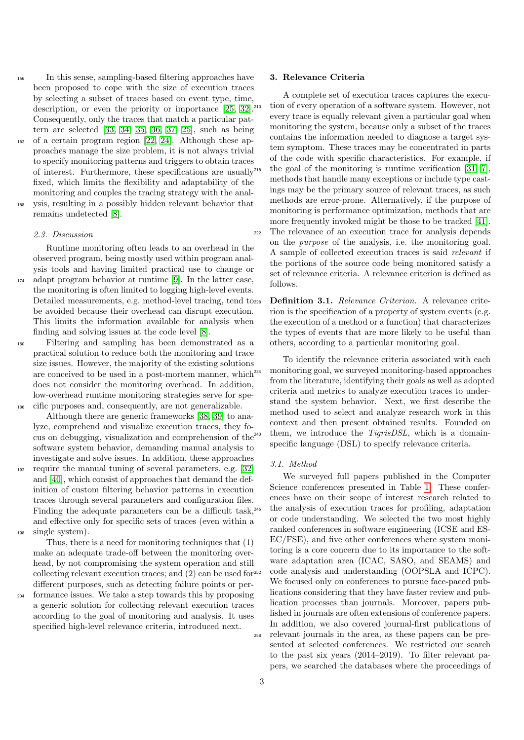- <sup>156</sup> In this sense, sampling-based filtering approaches have been proposed to cope with the size of execution traces by selecting a subset of traces based on event type, time, description, or even the priority or importance [\[25,](#page-22-11) [32\]](#page-22-18).<sup>210</sup> Consequently, only the traces that match a particular pattern are selected [\[33,](#page-22-19) [34,](#page-22-20) [35,](#page-22-21) [36,](#page-22-22) [37,](#page-22-23) [25\]](#page-22-11), such as being <sup>162</sup> of a certain program region [\[22,](#page-22-8) [24\]](#page-22-10). Although these approaches manage the size problem, it is not always trivial to specify monitoring patterns and triggers to obtain traces of interest. Furthermore, these specifications are usually<sup>216</sup> fixed, which limits the flexibility and adaptability of the monitoring and couples the tracing strategy with the anal-<sup>168</sup> ysis, resulting in a possibly hidden relevant behavior that
- remains undetected [\[8\]](#page-21-7).

#### 2.3. Discussion

Runtime monitoring often leads to an overhead in the observed program, being mostly used within program analysis tools and having limited practical use to change or <sup>174</sup> adapt program behavior at runtime [\[9\]](#page-21-8). In the latter case, the monitoring is often limited to logging high-level events. Detailed measurements, e.g. method-level tracing, tend to be avoided because their overhead can disrupt execution. This limits the information available for analysis when finding and solving issues at the code level [\[8\]](#page-21-7).

<sup>180</sup> Filtering and sampling has been demonstrated as a practical solution to reduce both the monitoring and trace size issues. However, the majority of the existing solutions are conceived to be used in a post-mortem manner, which  $^{234}$ does not consider the monitoring overhead. In addition, low-overhead runtime monitoring strategies serve for spe-<sup>186</sup> cific purposes and, consequently, are not generalizable.

Although there are generic frameworks [\[38,](#page-22-24) [39\]](#page-22-25) to analyze, comprehend and visualize execution traces, they focus on debugging, visualization and comprehension of the  $^{240}$ software system behavior, demanding manual analysis to investigate and solve issues. In addition, these approaches <sup>192</sup> require the manual tuning of several parameters, e.g. [\[32\]](#page-22-18) and [\[40\]](#page-22-26), which consist of approaches that demand the definition of custom filtering behavior patterns in execution traces through several parameters and configuration files. Finding the adequate parameters can be a difficult task,<sup>246</sup> and effective only for specific sets of traces (even within a

<sup>198</sup> single system).

Thus, there is a need for monitoring techniques that (1) make an adequate trade-off between the monitoring overhead, by not compromising the system operation and still collecting relevant execution traces; and (2) can be used for different purposes, such as detecting failure points or per-

<sup>204</sup> formance issues. We take a step towards this by proposing a generic solution for collecting relevant execution traces according to the goal of monitoring and analysis. It uses specified high-level relevance criteria, introduced next.

#### <span id="page-2-0"></span>3. Relevance Criteria

A complete set of execution traces captures the execution of every operation of a software system. However, not every trace is equally relevant given a particular goal when monitoring the system, because only a subset of the traces contains the information needed to diagnose a target system symptom. These traces may be concentrated in parts of the code with specific characteristics. For example, if the goal of the monitoring is runtime verification  $[31, 7]$  $[31, 7]$ , methods that handle many exceptions or include type castings may be the primary source of relevant traces, as such methods are error-prone. Alternatively, if the purpose of monitoring is performance optimization, methods that are more frequently invoked might be those to be tracked [\[41\]](#page-22-27). <sup>222</sup> The relevance of an execution trace for analysis depends on the purpose of the analysis, i.e. the monitoring goal. A sample of collected execution traces is said relevant if the portions of the source code being monitored satisfy a set of relevance criteria. A relevance criterion is defined as follows.

Definition 3.1. Relevance Criterion. A relevance criterion is the specification of a property of system events (e.g. the execution of a method or a function) that characterizes the types of events that are more likely to be useful than others, according to a particular monitoring goal.

To identify the relevance criteria associated with each monitoring goal, we surveyed monitoring-based approaches from the literature, identifying their goals as well as adopted criteria and metrics to analyze execution traces to understand the system behavior. Next, we first describe the method used to select and analyze research work in this context and then present obtained results. Founded on them, we introduce the *TigrisDSL*, which is a domainspecific language (DSL) to specify relevance criteria.

#### 3.1. Method

We surveyed full papers published in the Computer Science conferences presented in Table [1.](#page-4-0) These conferences have on their scope of interest research related to <sup>246</sup> the analysis of execution traces for profiling, adaptation or code understanding. We selected the two most highly ranked conferences in software engineering (ICSE and ES-EC/FSE), and five other conferences where system monitoring is a core concern due to its importance to the software adaptation area (ICAC, SASO, and SEAMS) and code analysis and understanding (OOPSLA and ICPC). We focused only on conferences to pursue face-paced publications considering that they have faster review and publication processes than journals. Moreover, papers published in journals are often extensions of conference papers. In addition, we also covered journal-first publications of <sup>258</sup> relevant journals in the area, as these papers can be presented at selected conferences. We restricted our search to the past six years (2014–2019). To filter relevant papers, we searched the databases where the proceedings of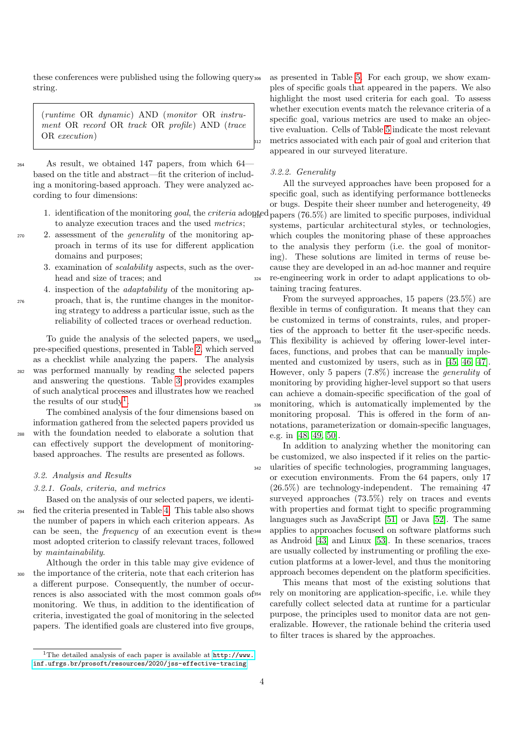these conferences were published using the following query string.

(runtime OR dynamic) AND (monitor OR instrument OR record OR track OR profile) AND (trace OR execution)

<sup>264</sup> As result, we obtained 147 papers, from which 64 based on the title and abstract—fit the criterion of including a monitoring-based approach. They were analyzed according to four dimensions:

- to analyze execution traces and the used metrics;
- <sup>270</sup> 2. assessment of the generality of the monitoring approach in terms of its use for different application domains and purposes;
	- 3. examination of scalability aspects, such as the overhead and size of traces; and
- 4. inspection of the adaptability of the monitoring ap-<sup>276</sup> proach, that is, the runtime changes in the monitoring strategy to address a particular issue, such as the reliability of collected traces or overhead reduction.

To guide the analysis of the selected papers, we used pre-specified questions, presented in Table [2,](#page-4-1) which served as a checklist while analyzing the papers. The analysis <sup>282</sup> was performed manually by reading the selected papers and answering the questions. Table [3](#page-5-0) provides examples of such analytical processes and illustrates how we reached the results of our study<sup>[1](#page-3-0)</sup>.

The combined analysis of the four dimensions based on information gathered from the selected papers provided us <sup>288</sup> with the foundation needed to elaborate a solution that can effectively support the development of monitoringbased approaches. The results are presented as follows.

#### 3.2. Analysis and Results

#### 3.2.1. Goals, criteria, and metrics

Based on the analysis of our selected papers, we identi-<sup>294</sup> fied the criteria presented in Table [4.](#page-5-1) This table also shows the number of papers in which each criterion appears. As can be seen, the *frequency* of an execution event is the<sup>348</sup> most adopted criterion to classify relevant traces, followed by maintainability.

Although the order in this table may give evidence of <sup>300</sup> the importance of the criteria, note that each criterion has a different purpose. Consequently, the number of occurrences is also associated with the most common goals of monitoring. We thus, in addition to the identification of criteria, investigated the goal of monitoring in the selected papers. The identified goals are clustered into five groups,

as presented in Table [5.](#page-6-0) For each group, we show examples of specific goals that appeared in the papers. We also highlight the most used criteria for each goal. To assess whether execution events match the relevance criteria of a specific goal, various metrics are used to make an objective evaluation. Cells of Table [5](#page-6-0) indicate the most relevant <sup>312</sup> metrics associated with each pair of goal and criterion that appeared in our surveyed literature.

#### 3.2.2. Generality

1. identification of the monitoring goal, the criteria adopted papers (76.5%) are limited to specific purposes, individual All the surveyed approaches have been proposed for a specific goal, such as identifying performance bottlenecks or bugs. Despite their sheer number and heterogeneity, 49 systems, particular architectural styles, or technologies, which couples the monitoring phase of these approaches to the analysis they perform (i.e. the goal of monitoring). These solutions are limited in terms of reuse because they are developed in an ad-hoc manner and require <sup>324</sup> re-engineering work in order to adapt applications to obtaining tracing features.

> From the surveyed approaches, 15 papers (23.5%) are flexible in terms of configuration. It means that they can be customized in terms of constraints, rules, and properties of the approach to better fit the user-specific needs. This flexibility is achieved by offering lower-level interfaces, functions, and probes that can be manually implemented and customized by users, such as in [\[45,](#page-23-0) [46,](#page-23-1) [47\]](#page-23-2). However, only 5 papers (7.8%) increase the generality of monitoring by providing higher-level support so that users can achieve a domain-specific specification of the goal of <sup>336</sup> monitoring, which is automatically implemented by the monitoring proposal. This is offered in the form of annotations, parameterization or domain-specific languages, e.g. in [\[48,](#page-23-3) [49,](#page-23-4) [50\]](#page-23-5).

> In addition to analyzing whether the monitoring can be customized, we also inspected if it relies on the partic-<sup>342</sup> ularities of specific technologies, programming languages, or execution environments. From the 64 papers, only 17 (26.5%) are technology-independent. The remaining 47 surveyed approaches (73.5%) rely on traces and events with properties and format tight to specific programming languages such as JavaScript [\[51\]](#page-23-6) or Java [\[52\]](#page-23-7). The same applies to approaches focused on software platforms such as Android [\[43\]](#page-22-28) and Linux [\[53\]](#page-23-8). In these scenarios, traces are usually collected by instrumenting or profiling the execution platforms at a lower-level, and thus the monitoring approach becomes dependent on the platform specificities.

This means that most of the existing solutions that <sup>354</sup> rely on monitoring are application-specific, i.e. while they carefully collect selected data at runtime for a particular purpose, the principles used to monitor data are not generalizable. However, the rationale behind the criteria used to filter traces is shared by the approaches.

<span id="page-3-0"></span><sup>1</sup>The detailed analysis of each paper is available at [http://www.](http://www.inf.ufrgs.br/prosoft/resources/2020/jss-effective-tracing) [inf.ufrgs.br/prosoft/resources/2020/jss-effective-tracing](http://www.inf.ufrgs.br/prosoft/resources/2020/jss-effective-tracing)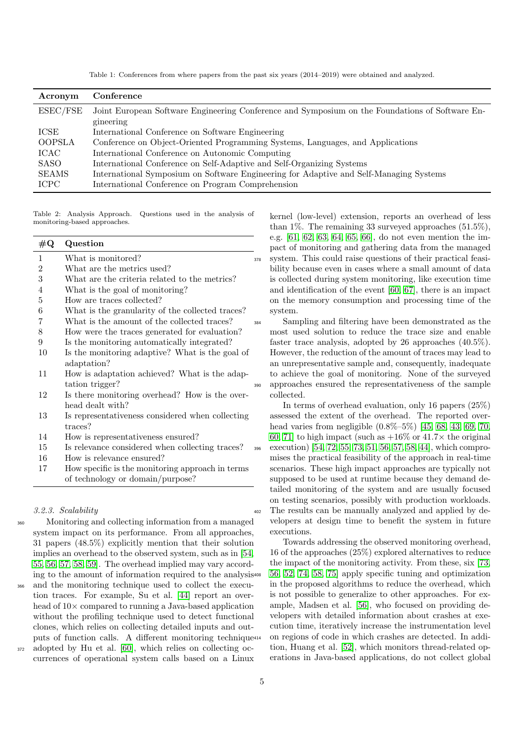Table 1: Conferences from where papers from the past six years (2014–2019) were obtained and analyzed.

<span id="page-4-0"></span>

| Acronym       | Conference                                                                                                   |
|---------------|--------------------------------------------------------------------------------------------------------------|
| ESEC/FSE      | Joint European Software Engineering Conference and Symposium on the Foundations of Software En-<br>gineering |
| ICSE          | International Conference on Software Engineering                                                             |
| <b>OOPSLA</b> | Conference on Object-Oriented Programming Systems, Languages, and Applications                               |
| ICAC          | International Conference on Autonomic Computing                                                              |
| SASO          | International Conference on Self-Adaptive and Self-Organizing Systems                                        |
| SEAMS         | International Symposium on Software Engineering for Adaptive and Self-Managing Systems                       |
| ICPC          | International Conference on Program Comprehension                                                            |

<span id="page-4-1"></span>Table 2: Analysis Approach. Questions used in the analysis of monitoring-based approaches.

| $\#\mathrm{Q}$ | Question                                         |     |
|----------------|--------------------------------------------------|-----|
| 1              | What is monitored?                               | 378 |
| $\overline{2}$ | What are the metrics used?                       |     |
| 3              | What are the criteria related to the metrics?    |     |
| $\overline{4}$ | What is the goal of monitoring?                  |     |
| 5              | How are traces collected?                        |     |
| 6              | What is the granularity of the collected traces? |     |
| 7              | What is the amount of the collected traces?      | 384 |
| 8              | How were the traces generated for evaluation?    |     |
| 9              | Is the monitoring automatically integrated?      |     |
| 10             | Is the monitoring adaptive? What is the goal of  |     |
|                | adaptation?                                      |     |
| 11             | How is adaptation achieved? What is the adap-    |     |
|                | tation trigger?                                  | 390 |
| 12             | Is there monitoring overhead? How is the over-   |     |
|                | head dealt with?                                 |     |
| 13             | Is representativeness considered when collecting |     |
|                | traces?                                          |     |
| 14             | How is representativeness ensured?               |     |
| 15             | Is relevance considered when collecting traces?  | 396 |
| 16             | How is relevance ensured?                        |     |
| 17             | How specific is the monitoring approach in terms |     |
|                | of technology or domain/purpose?                 |     |

3.2.3. Scalability

<sup>360</sup> Monitoring and collecting information from a managed system impact on its performance. From all approaches, 31 papers (48.5%) explicitly mention that their solution implies an overhead to the observed system, such as in [\[54,](#page-23-9) [55,](#page-23-10) [56,](#page-23-11) [57,](#page-23-12) [58,](#page-23-13) [59\]](#page-23-14). The overhead implied may vary according to the amount of information required to the analysis

- <sup>366</sup> and the monitoring technique used to collect the execution traces. For example, Su et al. [\[44\]](#page-22-29) report an overhead of 10× compared to running a Java-based application without the profiling technique used to detect functional clones, which relies on collecting detailed inputs and outputs of function calls. A different monitoring technique <sup>372</sup> adopted by Hu et al. [\[60\]](#page-23-15), which relies on collecting oc-
- currences of operational system calls based on a Linux

kernel (low-level) extension, reports an overhead of less than 1%. The remaining 33 surveyed approaches  $(51.5\%)$ , e.g. [\[61,](#page-23-16) [62,](#page-23-17) [63,](#page-23-18) [64,](#page-23-19) [65,](#page-23-20) [66\]](#page-23-21), do not even mention the impact of monitoring and gathering data from the managed system. This could raise questions of their practical feasibility because even in cases where a small amount of data is collected during system monitoring, like execution time and identification of the event [\[60,](#page-23-15) [67\]](#page-23-22), there is an impact on the memory consumption and processing time of the system.

Sampling and filtering have been demonstrated as the most used solution to reduce the trace size and enable faster trace analysis, adopted by 26 approaches (40.5%). However, the reduction of the amount of traces may lead to an unrepresentative sample and, consequently, inadequate to achieve the goal of monitoring. None of the surveyed <sup>390</sup> approaches ensured the representativeness of the sample collected.

In terms of overhead evaluation, only 16 papers (25%) assessed the extent of the overhead. The reported overhead varies from negligible  $(0.8\% - 5\%)$  [\[45,](#page-23-0) [68,](#page-23-23) [43,](#page-22-28) [69,](#page-23-24) [70,](#page-24-0) [60,](#page-23-15) [71\]](#page-24-1) to high impact (such as  $+16\%$  or  $41.7\times$  the original execution) [\[54,](#page-23-9) [72,](#page-24-2) [55,](#page-23-10) [73,](#page-24-3) [51,](#page-23-6) [56,](#page-23-11) [57,](#page-23-12) [58,](#page-23-13) [44\]](#page-22-29), which compromises the practical feasibility of the approach in real-time scenarios. These high impact approaches are typically not supposed to be used at runtime because they demand detailed monitoring of the system and are usually focused on testing scenarios, possibly with production workloads. <sup>402</sup> The results can be manually analyzed and applied by developers at design time to benefit the system in future executions.

Towards addressing the observed monitoring overhead, 16 of the approaches (25%) explored alternatives to reduce the impact of the monitoring activity. From these, six [\[73,](#page-24-3) <sup>408</sup> [56,](#page-23-11) [52,](#page-23-7) [74,](#page-24-4) [58,](#page-23-13) [75\]](#page-24-5) apply specific tuning and optimization in the proposed algorithms to reduce the overhead, which is not possible to generalize to other approaches. For example, Madsen et al. [\[56\]](#page-23-11), who focused on providing developers with detailed information about crashes at execution time, iteratively increase the instrumentation level <sup>414</sup> on regions of code in which crashes are detected. In addition, Huang et al. [\[52\]](#page-23-7), which monitors thread-related operations in Java-based applications, do not collect global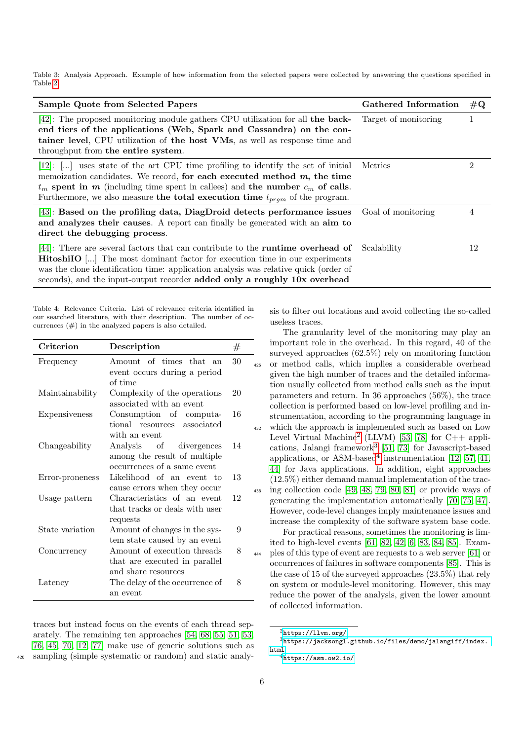<span id="page-5-0"></span>Table 3: Analysis Approach. Example of how information from the selected papers were collected by answering the questions specified in Table [2.](#page-4-1)

| Sample Quote from Selected Papers                                                                                                                                                                                                                                                                                                                | Gathered Information | $\#\mathrm{Q}$ |
|--------------------------------------------------------------------------------------------------------------------------------------------------------------------------------------------------------------------------------------------------------------------------------------------------------------------------------------------------|----------------------|----------------|
| [42]: The proposed monitoring module gathers CPU utilization for all the back-<br>end tiers of the applications (Web, Spark and Cassandra) on the con-<br>tainer level, CPU utilization of the host VMs, as well as response time and<br>throughput from the entire system.                                                                      | Target of monitoring |                |
| [12]: $[]$ uses state of the art CPU time profiling to identify the set of initial<br>memoization candidates. We record, for each executed method $m$ , the time<br>$t_m$ spent in m (including time spent in calless) and the number $c_m$ of calls.<br>Furthermore, we also measure the total execution time $t_{prqm}$ of the program.        | Metrics              | 2              |
| [43]: Based on the profiling data, DiagDroid detects performance issues<br>and analyzes their causes. A report can finally be generated with an aim to<br>direct the debugging process.                                                                                                                                                          | Goal of monitoring   | 4              |
| [44]: There are several factors that can contribute to the <b>runtime overhead of</b><br><b>HitoshilO</b> [] The most dominant factor for execution time in our experiments<br>was the clone identification time: application analysis was relative quick (order of<br>seconds), and the input-output recorder added only a roughly 10x overhead | Scalability          | 12             |

<span id="page-5-1"></span>Table 4: Relevance Criteria. List of relevance criteria identified in our searched literature, with their description. The number of occurrences  $(\#)$  in the analyzed papers is also detailed.

| Criterion       | Description                                              | $^{\#}$ |
|-----------------|----------------------------------------------------------|---------|
| Frequency       | Amount of times that an                                  | 30      |
|                 | event occurs during a period                             |         |
|                 | of time                                                  |         |
| Maintainability | Complexity of the operations<br>associated with an event | 20      |
| Expensiveness   | Consumption of computa-                                  | 16      |
|                 | tional resources associated                              |         |
|                 | with an event                                            |         |
| Changeability   | Analysis of divergences                                  | 14      |
|                 | among the result of multiple                             |         |
|                 | occurrences of a same event                              |         |
| Error-proneness | Likelihood of an event to                                | 13      |
|                 | cause errors when they occur                             |         |
| Usage pattern   | Characteristics of an event                              | 12      |
|                 | that tracks or deals with user                           |         |
|                 | requests                                                 |         |
| State variation | Amount of changes in the sys-                            | 9       |
|                 | tem state caused by an event                             |         |
| Concurrency     | Amount of execution threads                              | 8       |
|                 | that are executed in parallel                            |         |
|                 | and share resources                                      |         |
| Latency         | The delay of the occurrence of                           | 8       |
|                 | an event                                                 |         |

traces but instead focus on the events of each thread separately. The remaining ten approaches [\[54,](#page-23-9) [68,](#page-23-23) [55,](#page-23-10) [51,](#page-23-6) [53,](#page-23-8) [76,](#page-24-6) [45,](#page-23-0) [70,](#page-24-0) [12,](#page-21-11) [77\]](#page-24-7) make use of generic solutions such as <sup>420</sup> sampling (simple systematic or random) and static analysis to filter out locations and avoid collecting the so-called useless traces.

The granularity level of the monitoring may play an important role in the overhead. In this regard, 40 of the surveyed approaches (62.5%) rely on monitoring function <sup>426</sup> or method calls, which implies a considerable overhead given the high number of traces and the detailed information usually collected from method calls such as the input parameters and return. In 36 approaches (56%), the trace collection is performed based on low-level profiling and instrumentation, according to the programming language in <sup>432</sup> which the approach is implemented such as based on Low Level Virtual Machine<sup>[2](#page-5-2)</sup> (LLVM) [\[53,](#page-23-8) [78\]](#page-24-8) for  $C++$  appli-cations, Jalangi framework<sup>[3](#page-5-3)</sup> [\[51,](#page-23-6) [73\]](#page-24-3) for Javascript-based applications, or ASM-based<sup>[4](#page-5-4)</sup> instrumentation [\[12,](#page-21-11) [57,](#page-23-12) [41,](#page-22-27) [44\]](#page-22-29) for Java applications. In addition, eight approaches (12.5%) either demand manual implementation of the tracing collection code  $[49, 48, 79, 80, 81]$  $[49, 48, 79, 80, 81]$  $[49, 48, 79, 80, 81]$  $[49, 48, 79, 80, 81]$  $[49, 48, 79, 80, 81]$  or provide ways of generating the implementation automatically [\[70,](#page-24-0) [75,](#page-24-5) [47\]](#page-23-2). However, code-level changes imply maintenance issues and increase the complexity of the software system base code.

For practical reasons, sometimes the monitoring is limited to high-level events [\[61,](#page-23-16) [82,](#page-24-12) [42,](#page-22-30) [6,](#page-21-5) [83,](#page-24-13) [84,](#page-24-14) [85\]](#page-24-15). Exam-<sup>444</sup> ples of this type of event are requests to a web server [\[61\]](#page-23-16) or occurrences of failures in software components [\[85\]](#page-24-15). This is the case of 15 of the surveyed approaches (23.5%) that rely on system or module-level monitoring. However, this may reduce the power of the analysis, given the lower amount of collected information.

<span id="page-5-3"></span><span id="page-5-2"></span><sup>2</sup><https://llvm.org/>

<sup>3</sup>[https://jacksongl.github.io/files/demo/jalangiff/index.](https://jacksongl.github.io/files/demo/jalangiff/index.html) [html](https://jacksongl.github.io/files/demo/jalangiff/index.html)

<span id="page-5-4"></span> $4$ <https://asm.ow2.io/>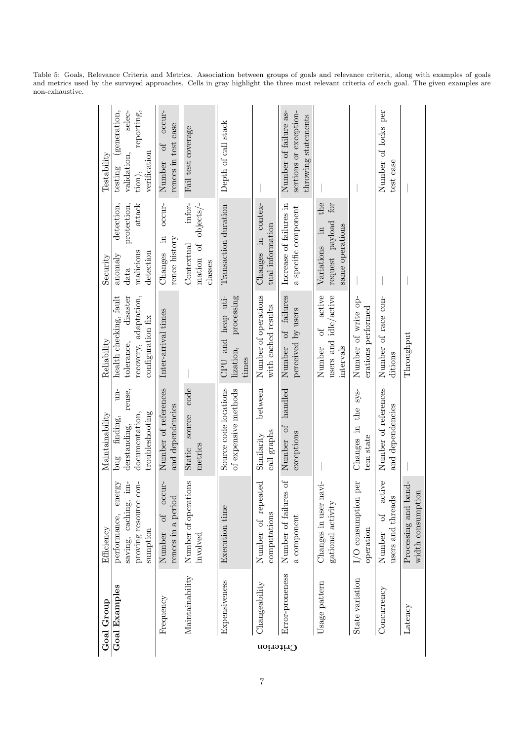|           | Goal Group             | Efficiency                                                                                                  | Maintainability                                                                            | Reliability                                                                                    | Security                                                                                   | Testability                                                                             |
|-----------|------------------------|-------------------------------------------------------------------------------------------------------------|--------------------------------------------------------------------------------------------|------------------------------------------------------------------------------------------------|--------------------------------------------------------------------------------------------|-----------------------------------------------------------------------------------------|
|           | Goal Examples          | im-<br>$con-$<br>ergy<br>$\overline{5}$<br>saving, caching,<br>proving resource<br>performance,<br>sumption | $un-$<br>reuse,<br>troubleshooting<br>documentation,<br>finding,<br>$d$ erstanding,<br>bug | recovery, adaptation,<br>health checking, fault<br>disaster<br>configuration fix<br>tolerance, | detection,<br>$at$ tac $\bf k$<br>protection,<br>malicious<br>detection<br>anomaly<br>data | generation,<br>selec-<br>reporting,<br>verification<br>validation,<br>testing<br>tion), |
|           | Frequency              | occur-<br>rences in a period<br>JO<br>Number                                                                | Number of references<br>and dependencies                                                   | Inter-arrival times                                                                            | occur-<br>Ξ.<br>rence history<br>Changes                                                   | occur-<br>rences in test case<br>$\sigma$<br>Number                                     |
|           | Maintainability        | Number of operations<br>involved                                                                            | code<br>source<br>metrics<br>Static                                                        |                                                                                                | infor-<br>mation of objects/-<br>Contextual<br>classes                                     | Fail test coverage                                                                      |
|           | Expensiveness          | Execution time                                                                                              | Source code locations<br>of expensive methods                                              | CPU and heap uti-<br>processing<br>lization,<br>times                                          | Transaction duration                                                                       | Depth of call stack                                                                     |
| Criterion | $\alpha$ Changeability | ated<br>Number of repe<br>computations                                                                      | between<br>call graphs<br>Similarity                                                       | Number of operations<br>with cached results                                                    | Changes in contex-<br>tual information                                                     |                                                                                         |
|           | Error-proneness        | fo se:<br>Number of failur<br>a component                                                                   | Number of handled<br>exceptions                                                            | Number of failures<br>perceived by users                                                       | Increase of failures in<br>a specific component                                            | sertions or exception-<br>Number of failure as-<br>throwing statements                  |
|           | Usage pattern          | 18V1<br>Changes in user 1<br>gational activity                                                              |                                                                                            | active<br>users and idle/active<br>$\sigma$<br>intervals<br>Number                             | the<br>for<br>request payload<br>same operations<br>$\ddot{u}$<br>Variations               |                                                                                         |
|           | State variation        | per<br>$I/O$ consumption<br>operation                                                                       | the sys-<br>Changes in<br>tem state                                                        | Number of write op-<br>erations performed                                                      |                                                                                            |                                                                                         |
|           | Concurrency            | active<br>users and threads<br>JQ<br>Number                                                                 | Number of references<br>and dependencies                                                   | Number of race con-<br>ditions                                                                 |                                                                                            | Number of locks per<br>test case                                                        |
|           | Latency                | Processing and band-<br>width consumption                                                                   |                                                                                            | Throughput                                                                                     |                                                                                            |                                                                                         |

<span id="page-6-0"></span>Table 5: Goals, Relevance Criteria and Metrics. Association between groups of goals and relevance criteria, along with examples of goals and metrics used by the surveyed approaches. Cells in gray highlight the three most relevant criteria of each goal. The given examples are non-exhaustive.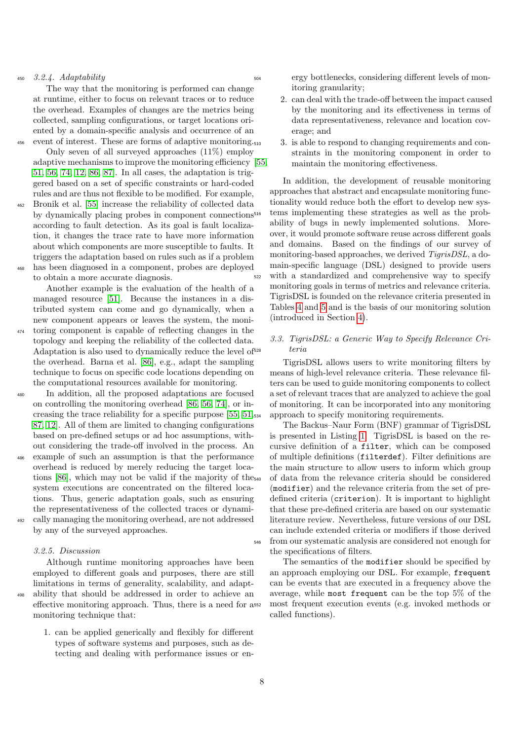$450$  3.2.4. Adaptability

The way that the monitoring is performed can change at runtime, either to focus on relevant traces or to reduce the overhead. Examples of changes are the metrics being collected, sampling configurations, or target locations oriented by a domain-specific analysis and occurrence of an 456 event of interest. These are forms of adaptive monitoring.

- Only seven of all surveyed approaches (11%) employ adaptive mechanisms to improve the monitoring efficiency [\[55,](#page-23-10) [51,](#page-23-6) [56,](#page-23-11) [74,](#page-24-4) [12,](#page-21-11) [86,](#page-24-16) [87\]](#page-24-17). In all cases, the adaptation is triggered based on a set of specific constraints or hard-coded rules and are thus not flexible to be modified. For example,
- <sup>462</sup> Bronik et al. [\[55\]](#page-23-10) increase the reliability of collected data by dynamically placing probes in component connections according to fault detection. As its goal is fault localization, it changes the trace rate to have more information about which components are more susceptible to faults. It triggers the adaptation based on rules such as if a problem <sup>468</sup> has been diagnosed in a component, probes are deployed
- to obtain a more accurate diagnosis. Another example is the evaluation of the health of a

managed resource [\[51\]](#page-23-6). Because the instances in a distributed system can come and go dynamically, when a new component appears or leaves the system, the moni-<sup>474</sup> toring component is capable of reflecting changes in the topology and keeping the reliability of the collected data. Adaptation is also used to dynamically reduce the level of<sup>528</sup>

the overhead. Barna et al. [\[86\]](#page-24-16), e.g., adapt the sampling technique to focus on specific code locations depending on the computational resources available for monitoring.

- <sup>480</sup> In addition, all the proposed adaptations are focused on controlling the monitoring overhead [\[86,](#page-24-16) [56,](#page-23-11) [74\]](#page-24-4), or increasing the trace reliability for a specific purpose [\[55,](#page-23-10) [51,](#page-23-6) [87,](#page-24-17) [12\]](#page-21-11). All of them are limited to changing configurations based on pre-defined setups or ad hoc assumptions, without considering the trade-off involved in the process. An <sup>486</sup> example of such an assumption is that the performance
- overhead is reduced by merely reducing the target locations [\[86\]](#page-24-16), which may not be valid if the majority of the system executions are concentrated on the filtered locations. Thus, generic adaptation goals, such as ensuring the representativeness of the collected traces or dynamically managing the monitoring overhead, are not addressed by any of the surveyed approaches.

3.2.5. Discussion

monitoring technique that:

Although runtime monitoring approaches have been employed to different goals and purposes, there are still limitations in terms of generality, scalability, and adapt-<sup>498</sup> ability that should be addressed in order to achieve an effective monitoring approach. Thus, there is a need for a

> 1. can be applied generically and flexibly for different types of software systems and purposes, such as detecting and dealing with performance issues or en

ergy bottlenecks, considering different levels of monitoring granularity;

- 2. can deal with the trade-off between the impact caused by the monitoring and its effectiveness in terms of data representativeness, relevance and location coverage; and
- 3. is able to respond to changing requirements and constraints in the monitoring component in order to maintain the monitoring effectiveness.

In addition, the development of reusable monitoring approaches that abstract and encapsulate monitoring functionality would reduce both the effort to develop new systems implementing these strategies as well as the probability of bugs in newly implemented solutions. Moreover, it would promote software reuse across different goals and domains. Based on the findings of our survey of monitoring-based approaches, we derived TigrisDSL, a domain-specific language (DSL) designed to provide users <sup>522</sup> with a standardized and comprehensive way to specify monitoring goals in terms of metrics and relevance criteria. TigrisDSL is founded on the relevance criteria presented in Tables [4](#page-5-1) and [5](#page-6-0) and is the basis of our monitoring solution (introduced in Section [4\)](#page-8-0).

## 3.3. TigrisDSL: a Generic Way to Specify Relevance Cri*teria*

TigrisDSL allows users to write monitoring filters by means of high-level relevance criteria. These relevance filters can be used to guide monitoring components to collect a set of relevant traces that are analyzed to achieve the goal of monitoring. It can be incorporated into any monitoring approach to specify monitoring requirements.

The Backus–Naur Form (BNF) grammar of TigrisDSL is presented in Listing [1.](#page-8-1) TigrisDSL is based on the recursive definition of a filter, which can be composed of multiple definitions (filterdef). Filter definitions are the main structure to allow users to inform which group <sup>540</sup> of data from the relevance criteria should be considered (modifier) and the relevance criteria from the set of predefined criteria (criterion). It is important to highlight that these pre-defined criteria are based on our systematic literature review. Nevertheless, future versions of our DSL can include extended criteria or modifiers if those derived <sup>546</sup> from our systematic analysis are considered not enough for the specifications of filters.

The semantics of the modifier should be specified by an approach employing our DSL. For example, frequent can be events that are executed in a frequency above the average, while most frequent can be the top 5% of the most frequent execution events (e.g. invoked methods or called functions).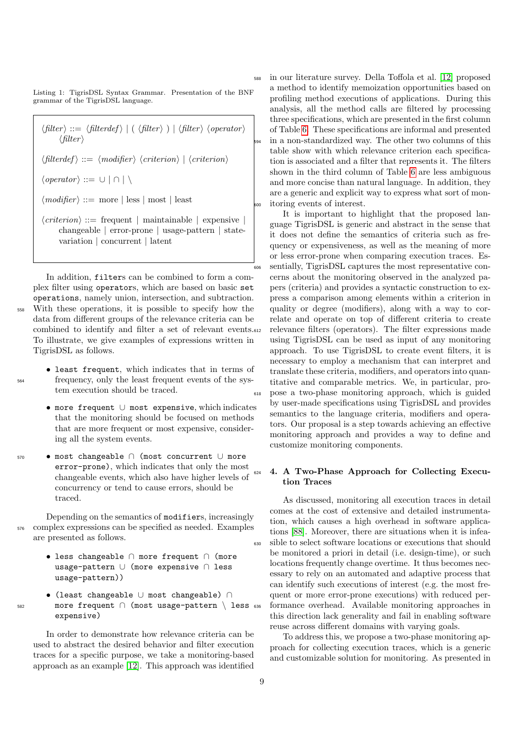<span id="page-8-1"></span>Listing 1: TigrisDSL Syntax Grammar. Presentation of the BNF grammar of the TigrisDSL language.

 $\langle filter \rangle ::= \langle filterdef \rangle | (\langle filter \rangle | \langle filter \rangle \langle operator \rangle$  $\langle filter \rangle$  $\langle \text{filterdef} \rangle ::= \langle \text{modifier} \rangle \langle \text{criterion} \rangle | \langle \text{criterion} \rangle$  $\langle operator \rangle ::= \cup | \cap | \setminus$  $\langle \textit{modifier} \rangle ::= \text{more} \mid \text{less} \mid \text{most} \mid \text{least}$  $\langle criterion \rangle ::= \text{frequent} \mid \text{maintainable} \mid \text{expensive}$ changeable | error-prone | usage-pattern | statevariation | concurrent | latent

In addition, filters can be combined to form a complex filter using operators, which are based on basic set operations, namely union, intersection, and subtraction. With these operations, it is possible to specify how the data from different groups of the relevance criteria can be combined to identify and filter a set of relevant events. To illustrate, we give examples of expressions written in TigrisDSL as follows.

- least frequent, which indicates that in terms of <sup>564</sup> frequency, only the least frequent events of the system execution should be traced.
	- more frequent ∪ most expensive, which indicates that the monitoring should be focused on methods that are more frequent or most expensive, considering all the system events.
- <sup>570</sup> most changeable ∩ (most concurrent ∪ more error-prone), which indicates that only the most changeable events, which also have higher levels of concurrency or tend to cause errors, should be traced.

Depending on the semantics of modifiers, increasingly <sup>576</sup> complex expressions can be specified as needed. Examples are presented as follows.

- less changeable ∩ more frequent ∩ (more usage-pattern ∪ (more expensive ∩ less usage-pattern))
- (least changeable ∪ most changeable) ∩ <sup>582</sup> more frequent ∩ (most usage-pattern \ less expensive)

In order to demonstrate how relevance criteria can be used to abstract the desired behavior and filter execution traces for a specific purpose, we take a monitoring-based approach as an example [\[12\]](#page-21-11). This approach was identified <sup>588</sup> in our literature survey. Della Toffola et al. [\[12\]](#page-21-11) proposed a method to identify memoization opportunities based on profiling method executions of applications. During this analysis, all the method calls are filtered by processing three specifications, which are presented in the first column of Table [6.](#page-9-0) These specifications are informal and presented in a non-standardized way. The other two columns of this table show with which relevance criterion each specification is associated and a filter that represents it. The filters shown in the third column of Table [6](#page-9-0) are less ambiguous and more concise than natural language. In addition, they are a generic and explicit way to express what sort of monitoring events of interest.

It is important to highlight that the proposed language TigrisDSL is generic and abstract in the sense that it does not define the semantics of criteria such as frequency or expensiveness, as well as the meaning of more or less error-prone when comparing execution traces. Es- $\frac{1}{606}$  sentially, TigrisDSL captures the most representative concerns about the monitoring observed in the analyzed papers (criteria) and provides a syntactic construction to express a comparison among elements within a criterion in quality or degree (modifiers), along with a way to correlate and operate on top of different criteria to create relevance filters (operators). The filter expressions made using TigrisDSL can be used as input of any monitoring approach. To use TigrisDSL to create event filters, it is necessary to employ a mechanism that can interpret and translate these criteria, modifiers, and operators into quantitative and comparable metrics. We, in particular, pro-<sup>618</sup> pose a two-phase monitoring approach, which is guided by user-made specifications using TigrisDSL and provides semantics to the language criteria, modifiers and operators. Our proposal is a step towards achieving an effective monitoring approach and provides a way to define and customize monitoring components.

## <span id="page-8-0"></span><sup>624</sup> 4. A Two-Phase Approach for Collecting Execution Traces

As discussed, monitoring all execution traces in detail comes at the cost of extensive and detailed instrumentation, which causes a high overhead in software applications [\[88\]](#page-24-18). Moreover, there are situations when it is infea-<sup>630</sup> sible to select software locations or executions that should be monitored a priori in detail (i.e. design-time), or such locations frequently change overtime. It thus becomes necessary to rely on an automated and adaptive process that can identify such executions of interest (e.g. the most frequent or more error-prone executions) with reduced performance overhead. Available monitoring approaches in this direction lack generality and fail in enabling software reuse across different domains with varying goals.

To address this, we propose a two-phase monitoring approach for collecting execution traces, which is a generic and customizable solution for monitoring. As presented in

9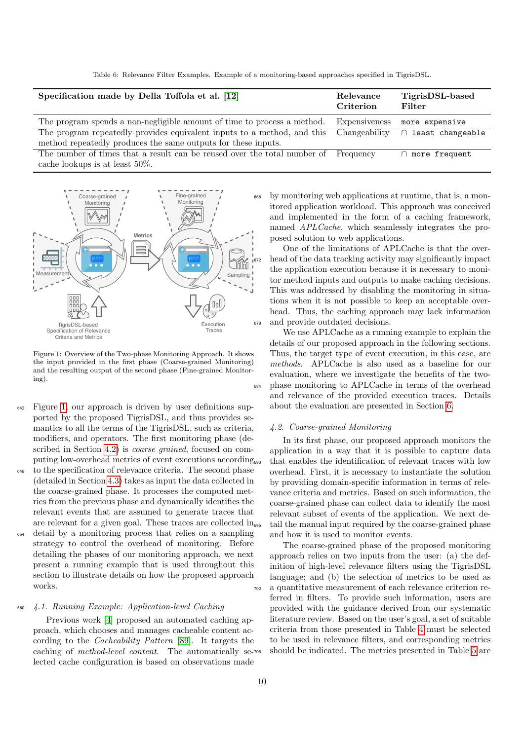Table 6: Relevance Filter Examples. Example of a monitoring-based approaches specified in TigrisDSL.

<span id="page-9-0"></span>

| Specification made by Della Toffola et al. [12]                          | Relevance<br>Criterion | TigrisDSL-based<br>Filter |
|--------------------------------------------------------------------------|------------------------|---------------------------|
| The program spends a non-negligible amount of time to process a method.  | Expensiveness          | more expensive            |
| The program repeatedly provides equivalent inputs to a method, and this  | Changeability          | ∩ least changeable        |
| method repeatedly produces the same outputs for these inputs.            |                        |                           |
| The number of times that a result can be reused over the total number of | Frequency              | $\cap$ more frequent      |
| cache lookups is at least $50\%$ .                                       |                        |                           |

<span id="page-9-1"></span>

Figure 1: Overview of the Two-phase Monitoring Approach. It shows the input provided in the first phase (Coarse-grained Monitoring) and the resulting output of the second phase (Fine-grained Monitoring).

- <sup>642</sup> Figure [1,](#page-9-1) our approach is driven by user definitions supported by the proposed TigrisDSL, and thus provides semantics to all the terms of the TigrisDSL, such as criteria, modifiers, and operators. The first monitoring phase (de-scribed in Section [4.2\)](#page-9-2) is *coarse grained*, focused on computing low-overhead metrics of event executions according
- to the specification of relevance criteria. The second phase (detailed in Section [4.3\)](#page-10-0) takes as input the data collected in the coarse-grained phase. It processes the computed metrics from the previous phase and dynamically identifies the relevant events that are assumed to generate traces that are relevant for a given goal. These traces are collected  $\text{in}_{\text{606}}$
- <sup>654</sup> detail by a monitoring process that relies on a sampling strategy to control the overhead of monitoring. Before detailing the phases of our monitoring approach, we next present a running example that is used throughout this section to illustrate details on how the proposed approach works.

## <sup>660</sup> 4.1. Running Example: Application-level Caching

Previous work [\[4\]](#page-21-3) proposed an automated caching approach, which chooses and manages cacheable content according to the Cacheability Pattern [\[89\]](#page-24-19). It targets the caching of method-level content. The automatically selected cache configuration is based on observations made

by monitoring web applications at runtime, that is, a monitored application workload. This approach was conceived and implemented in the form of a caching framework, named APLCache, which seamlessly integrates the proposed solution to web applications.

One of the limitations of APLCache is that the overhead of the data tracking activity may significantly impact the application execution because it is necessary to monitor method inputs and outputs to make caching decisions. This was addressed by disabling the monitoring in situations when it is not possible to keep an acceptable overhead. Thus, the caching approach may lack information <sup>678</sup> and provide outdated decisions.

We use APLCache as a running example to explain the details of our proposed approach in the following sections. Thus, the target type of event execution, in this case, are methods. APLCache is also used as a baseline for our evaluation, where we investigate the benefits of the two-<sup>684</sup> phase monitoring to APLCache in terms of the overhead and relevance of the provided execution traces. Details about the evaluation are presented in Section [6.](#page-13-0)

#### <span id="page-9-2"></span>4.2. Coarse-grained Monitoring

In its first phase, our proposed approach monitors the application in a way that it is possible to capture data that enables the identification of relevant traces with low overhead. First, it is necessary to instantiate the solution by providing domain-specific information in terms of relevance criteria and metrics. Based on such information, the coarse-grained phase can collect data to identify the most relevant subset of events of the application. We next detail the manual input required by the coarse-grained phase and how it is used to monitor events.

The coarse-grained phase of the proposed monitoring approach relies on two inputs from the user: (a) the definition of high-level relevance filters using the TigrisDSL language; and (b) the selection of metrics to be used as <sup>702</sup> a quantitative measurement of each relevance criterion referred in filters. To provide such information, users are provided with the guidance derived from our systematic literature review. Based on the user's goal, a set of suitable criteria from those presented in Table [4](#page-5-1) must be selected to be used in relevance filters, and corresponding metrics should be indicated. The metrics presented in Table [5](#page-6-0) are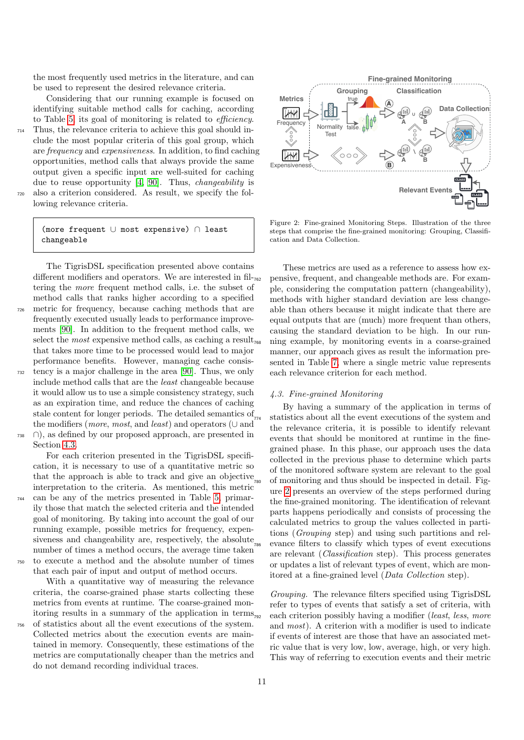the most frequently used metrics in the literature, and can be used to represent the desired relevance criteria.

Considering that our running example is focused on identifying suitable method calls for caching, according to Table [5,](#page-6-0) its goal of monitoring is related to efficiency.

<sup>714</sup> Thus, the relevance criteria to achieve this goal should include the most popular criteria of this goal group, which are frequency and expensiveness. In addition, to find caching opportunities, method calls that always provide the same output given a specific input are well-suited for caching due to reuse opportunity [\[4,](#page-21-3) [90\]](#page-24-20). Thus, changeability is <sup>720</sup> also a criterion considered. As result, we specify the following relevance criteria.

(more frequent ∪ most expensive) ∩ least changeable

The TigrisDSL specification presented above contains different modifiers and operators. We are interested in fil- $_{762}$ tering the more frequent method calls, i.e. the subset of method calls that ranks higher according to a specified <sup>726</sup> metric for frequency, because caching methods that are frequently executed usually leads to performance improvements [\[90\]](#page-24-20). In addition to the frequent method calls, we select the *most* expensive method calls, as caching a result<sub>768</sub> that takes more time to be processed would lead to major performance benefits. However, managing cache consis-tency is a major challenge in the area [\[90\]](#page-24-20). Thus, we only include method calls that are the least changeable because it would allow us to use a simple consistency strategy, such

as an expiration time, and reduce the chances of caching stale content for longer periods. The detailed semantics of the modifiers (*more, most,* and *least*) and operators ( $\cup$  and <sup>738</sup> ∩), as defined by our proposed approach, are presented in

Section [4.3.](#page-10-0)

For each criterion presented in the TigrisDSL specification, it is necessary to use of a quantitative metric so that the approach is able to track and give an objective<sub>780</sub> interpretation to the criteria. As mentioned, this metric <sup>744</sup> can be any of the metrics presented in Table [5,](#page-6-0) primarily those that match the selected criteria and the intended goal of monitoring. By taking into account the goal of our running example, possible metrics for frequency, expensiveness and changeability are, respectively, the absolute<sub>786</sub> number of times a method occurs, the average time taken <sup>750</sup> to execute a method and the absolute number of times that each pair of input and output of method occurs.

With a quantitative way of measuring the relevance criteria, the coarse-grained phase starts collecting these metrics from events at runtime. The coarse-grained monitoring results in a summary of the application in terms <sup>756</sup> of statistics about all the event executions of the system.

Collected metrics about the execution events are maintained in memory. Consequently, these estimations of the metrics are computationally cheaper than the metrics and do not demand recording individual traces.

<span id="page-10-1"></span>

Figure 2: Fine-grained Monitoring Steps. Illustration of the three steps that comprise the fine-grained monitoring: Grouping, Classification and Data Collection.

These metrics are used as a reference to assess how ex-<sup>762</sup> pensive, frequent, and changeable methods are. For example, considering the computation pattern (changeability), methods with higher standard deviation are less changeable than others because it might indicate that there are equal outputs that are (much) more frequent than others, causing the standard deviation to be high. In our running example, by monitoring events in a coarse-grained manner, our approach gives as result the information presented in Table [7,](#page-11-1) where a single metric value represents each relevance criterion for each method.

#### <span id="page-10-0"></span>4.3. Fine-grained Monitoring

By having a summary of the application in terms of <sup>774</sup> statistics about all the event executions of the system and the relevance criteria, it is possible to identify relevant events that should be monitored at runtime in the finegrained phase. In this phase, our approach uses the data collected in the previous phase to determine which parts of the monitored software system are relevant to the goal of monitoring and thus should be inspected in detail. Figure [2](#page-10-1) presents an overview of the steps performed during the fine-grained monitoring. The identification of relevant parts happens periodically and consists of processing the calculated metrics to group the values collected in partitions (Grouping step) and using such partitions and relevance filters to classify which types of event executions are relevant (Classification step). This process generates or updates a list of relevant types of event, which are monitored at a fine-grained level (Data Collection step).

Grouping. The relevance filters specified using TigrisDSL refer to types of events that satisfy a set of criteria, with each criterion possibly having a modifier (least, less, more and most). A criterion with a modifier is used to indicate if events of interest are those that have an associated metric value that is very low, low, average, high, or very high. This way of referring to execution events and their metric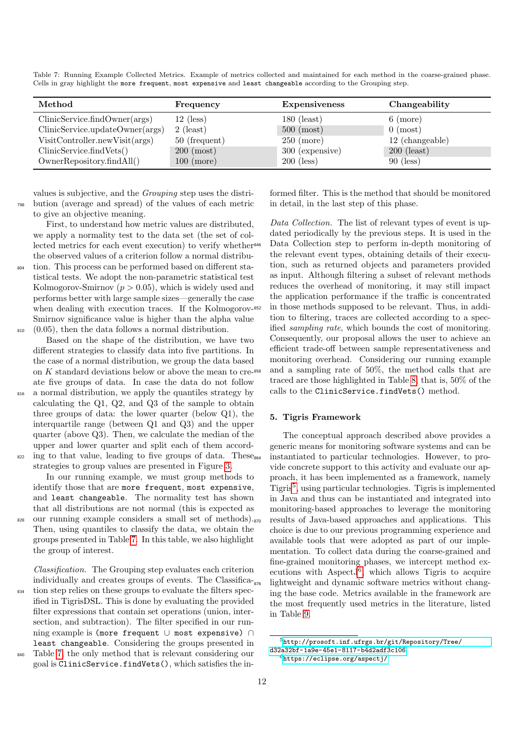| Method                          | Frequency              | <b>Expensiveness</b>   | Changeability      |
|---------------------------------|------------------------|------------------------|--------------------|
| ClinicService.findOwner(args)   | $12$ (less)            | $180$ (least)          | $6 \text{ (more)}$ |
| ClinicService.updateOwner(args) | $2$ (least)            | $500 \; \text{(most)}$ | $0 \text{ (most)}$ |
| VisitController.newVisit(args)  | 50 (frequent)          | $250 \; (\text{more})$ | 12 (changeable)    |
| ClinicService.findVets()        | $200 \; \text{(most)}$ | 300 (expensive)        | $200$ (least)      |
| OwnerRepository.findAll()       | $100 \; \text{(more)}$ | $200$ (less)           | $90$ (less)        |

<span id="page-11-1"></span>Table 7: Running Example Collected Metrics. Example of metrics collected and maintained for each method in the coarse-grained phase. Cells in gray highlight the more frequent, most expensive and least changeable according to the Grouping step.

values is subjective, and the Grouping step uses the distri-<sup>798</sup> bution (average and spread) of the values of each metric to give an objective meaning.

First, to understand how metric values are distributed, we apply a normality test to the data set (the set of collected metrics for each event execution) to verify whether the observed values of a criterion follow a normal distribu-<sup>804</sup> tion. This process can be performed based on different statistical tests. We adopt the non-parametric statistical test Kolmogorov-Smirnov  $(p > 0.05)$ , which is widely used and performs better with large sample sizes—generally the case when dealing with execution traces. If the Kolmogorov-<sup>852</sup> Smirnov significance value is higher than the alpha value

 $810$  (0.05), then the data follows a normal distribution. Based on the shape of the distribution, we have two different strategies to classify data into five partitions. In the case of a normal distribution, we group the data based on  $K$  standard deviations below or above the mean to cre- $358$ 

ate five groups of data. In case the data do not follow <sup>816</sup> a normal distribution, we apply the quantiles strategy by

calculating the Q1, Q2, and Q3 of the sample to obtain three groups of data: the lower quarter (below Q1), the interquartile range (between Q1 and Q3) and the upper quarter (above Q3). Then, we calculate the median of the upper and lower quarter and split each of them accord- $\delta$ <sub>822</sub> ing to that value, leading to five groups of data. These<sub>864</sub>

strategies to group values are presented in Figure [3.](#page-12-0)

In our running example, we must group methods to identify those that are more frequent, most expensive, and least changeable. The normality test has shown that all distributions are not normal (this is expected as

<sup>828</sup> our running example considers a small set of methods). Then, using quantiles to classify the data, we obtain the groups presented in Table [7.](#page-11-1) In this table, we also highlight the group of interest.

Classification. The Grouping step evaluates each criterion individually and creates groups of events. The Classifica-<sup>834</sup> tion step relies on these groups to evaluate the filters specified in TigrisDSL. This is done by evaluating the provided filter expressions that contain set operations (union, intersection, and subtraction). The filter specified in our running example is (more frequent ∪ most expensive) ∩ least changeable. Considering the groups presented in <sup>840</sup> Table [7,](#page-11-1) the only method that is relevant considering our

goal is ClinicService.findVets(), which satisfies the in-

formed filter. This is the method that should be monitored in detail, in the last step of this phase.

Data Collection. The list of relevant types of event is updated periodically by the previous steps. It is used in the Data Collection step to perform in-depth monitoring of the relevant event types, obtaining details of their execution, such as returned objects and parameters provided as input. Although filtering a subset of relevant methods reduces the overhead of monitoring, it may still impact the application performance if the traffic is concentrated in those methods supposed to be relevant. Thus, in addition to filtering, traces are collected according to a specified sampling rate, which bounds the cost of monitoring. Consequently, our proposal allows the user to achieve an efficient trade-off between sample representativeness and monitoring overhead. Considering our running example and a sampling rate of 50%, the method calls that are traced are those highlighted in Table [8,](#page-12-1) that is, 50% of the calls to the ClinicService.findVets() method.

## <span id="page-11-0"></span>5. Tigris Framework

The conceptual approach described above provides a generic means for monitoring software systems and can be <sup>864</sup> instantiated to particular technologies. However, to provide concrete support to this activity and evaluate our approach, it has been implemented as a framework, namely Tigris[5](#page-11-2) , using particular technologies. Tigris is implemented in Java and thus can be instantiated and integrated into monitoring-based approaches to leverage the monitoring results of Java-based approaches and applications. This choice is due to our previous programming experience and available tools that were adopted as part of our implementation. To collect data during the coarse-grained and fine-grained monitoring phases, we intercept method executions with Aspect $J^6$  $J^6$ , which allows Tigris to acquire lightweight and dynamic software metrics without changing the base code. Metrics available in the framework are the most frequently used metrics in the literature, listed in Table [9.](#page-13-1)

<span id="page-11-2"></span><sup>5</sup>[http://prosoft.inf.ufrgs.br/git/Repository/Tree/](http://prosoft.inf.ufrgs.br/git/Repository/Tree/d32a32bf-1a9e-45e1-8117-b4d2adf3c106) [d32a32bf-1a9e-45e1-8117-b4d2adf3c106](http://prosoft.inf.ufrgs.br/git/Repository/Tree/d32a32bf-1a9e-45e1-8117-b4d2adf3c106)

<span id="page-11-3"></span> $6$ <https://eclipse.org/aspectj/>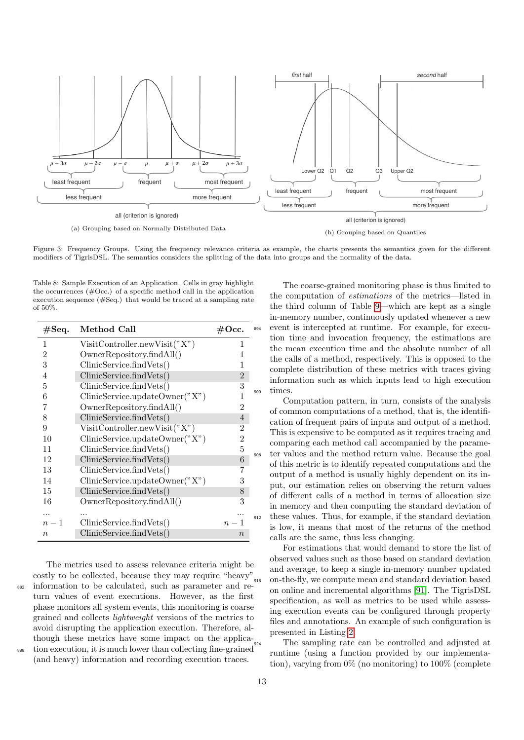<span id="page-12-0"></span>

Figure 3: Frequency Groups. Using the frequency relevance criteria as example, the charts presents the semantics given for the different modifiers of TigrisDSL. The semantics considers the splitting of the data into groups and the normality of the data.

<span id="page-12-1"></span>Table 8: Sample Execution of an Application. Cells in gray highlight the occurrences  $(\text{\#Occ.})$  of a specific method call in the application execution sequence (#Seq.) that would be traced at a sampling rate of 50%.

| #Seq.            | Method Call                    | #Occ.            | 894 |
|------------------|--------------------------------|------------------|-----|
| 1                | VisitController.newVisit("X")  | 1                |     |
| $\overline{2}$   | OwnerRepository.findAll()      | 1                |     |
| 3                | ClinicService.findVets()       | 1                |     |
| $\overline{4}$   | ClinicService.findVets()       | $\overline{2}$   |     |
| 5                | ClinicService.findVets()       | 3                |     |
| 6                | ClinicService.updateOwner("X") | 1                | 900 |
| 7                | OwnerRepository.findAll()      | 2                |     |
| 8                | ClinicService.findVets()       | 4                |     |
| 9                | VisitController.newVisit("X")  | 2                |     |
| 10               | ClinicService.updateOwner("X") | $\boldsymbol{2}$ |     |
| 11               | ClinicService.findVets()       | 5                |     |
| 12               | ClinicService.findVets()       | 6                | 906 |
| 13               | ClinicService.findVets()       | 7                |     |
| 14               | ClinicService.updateOwner("X") | 3                |     |
| 15               | ClinicService.findVets()       | 8                |     |
| 16               | OwnerRepository.findAll()      | 3                |     |
| .                |                                |                  |     |
| $n-1$            | ClinicService.findVets()       | $n-1$            | 912 |
| $\boldsymbol{n}$ | ClinicService.findVets()       | $\boldsymbol{n}$ |     |

The metrics used to assess relevance criteria might be costly to be collected, because they may require "heavy"  $\frac{1}{2882}$  information to be calculated, such as parameter and return values of event executions. However, as the first phase monitors all system events, this monitoring is coarse grained and collects lightweight versions of the metrics to avoid disrupting the application execution. Therefore, although these metrics have some impact on the applica-<sup>888</sup> tion execution, it is much lower than collecting fine-grained (and heavy) information and recording execution traces.

The coarse-grained monitoring phase is thus limited to the computation of estimations of the metrics—listed in the third column of Table [9—](#page-13-1)which are kept as a single in-memory number, continuously updated whenever a new event is intercepted at runtime. For example, for execution time and invocation frequency, the estimations are the mean execution time and the absolute number of all the calls of a method, respectively. This is opposed to the complete distribution of these metrics with traces giving information such as which inputs lead to high execution times.

Computation pattern, in turn, consists of the analysis of common computations of a method, that is, the identification of frequent pairs of inputs and output of a method. This is expensive to be computed as it requires tracing and comparing each method call accompanied by the parameter values and the method return value. Because the goal of this metric is to identify repeated computations and the output of a method is usually highly dependent on its input, our estimation relies on observing the return values of different calls of a method in terms of allocation size in memory and then computing the standard deviation of these values. Thus, for example, if the standard deviation is low, it means that most of the returns of the method calls are the same, thus less changing.

For estimations that would demand to store the list of observed values such as those based on standard deviation and average, to keep a single in-memory number updated <sup>918</sup> on-the-fly, we compute mean and standard deviation based on online and incremental algorithms [\[91\]](#page-24-21). The TigrisDSL specification, as well as metrics to be used while assessing execution events can be configured through property files and annotations. An example of such configuration is presented in Listing [2.](#page-13-2)

The sampling rate can be controlled and adjusted at runtime (using a function provided by our implementation), varying from 0% (no monitoring) to 100% (complete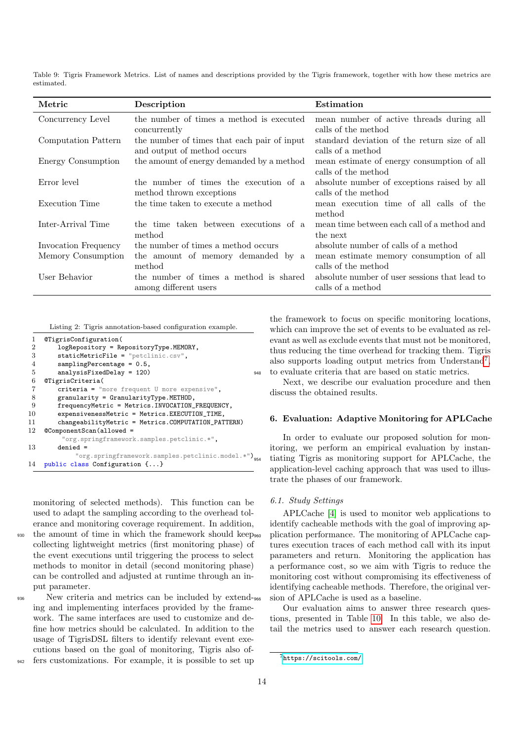<span id="page-13-1"></span>Table 9: Tigris Framework Metrics. List of names and descriptions provided by the Tigris framework, together with how these metrics are estimated.

| Metric               | Description                                                                | Estimation                                                         |
|----------------------|----------------------------------------------------------------------------|--------------------------------------------------------------------|
| Concurrency Level    | the number of times a method is executed<br>concurrently                   | mean number of active threads during all<br>calls of the method    |
| Computation Pattern  | the number of times that each pair of input<br>and output of method occurs | standard deviation of the return size of all<br>calls of a method  |
| Energy Consumption   | the amount of energy demanded by a method                                  | mean estimate of energy consumption of all<br>calls of the method  |
| Error level          | the number of times the execution of a<br>method thrown exceptions         | absolute number of exceptions raised by all<br>calls of the method |
| Execution Time       | the time taken to execute a method                                         | mean execution time of all calls of the<br>method                  |
| Inter-Arrival Time   | the time taken between executions of a<br>method                           | mean time between each call of a method and<br>the next            |
| Invocation Frequency | the number of times a method occurs                                        | absolute number of calls of a method                               |
| Memory Consumption   | the amount of memory demanded by a<br>method                               | mean estimate memory consumption of all<br>calls of the method     |
| User Behavior        | the number of times a method is shared<br>among different users            | absolute number of user sessions that lead to<br>calls of a method |

Listing 2: Tigris annotation-based configuration example.

<span id="page-13-2"></span>

| 1              | @TigrisConfiguration(                              |     |
|----------------|----------------------------------------------------|-----|
| $\overline{2}$ | logRepository = RepositoryType.MEMORY,             |     |
| 3              | staticMetricFile = "petclinic.csv",                |     |
| 4              | $samplingPercentage = 0.5$ ,                       |     |
| 5              | $analysisFixedDelay = 120)$                        | 948 |
| 6              | @TigrisCriteria(                                   |     |
| 7              | $criterion = "more frequent U more expensive",$    |     |
| 8              | $granularity = GranularityType.METHOD,$            |     |
| 9              | frequencyMetric = Metrics. INVOCATION_FREQUENCY,   |     |
| 10             | expensivenessMetric = Metrics.EXECUTION_TIME,      |     |
| 11             | changeabilityMetric = Metrics.COMPUTATION_PATTERN) |     |
| 12             | @ComponentScan(allowed =                           |     |
|                | "org.springframework.samples.petclinic.*",         |     |
| 13             | $denied =$                                         |     |
|                | "org.springframework.samples.petclinic.model.*")   |     |
| 14             | public class Configuration {}                      |     |
|                |                                                    |     |

monitoring of selected methods). This function can be used to adapt the sampling according to the overhead tolerance and monitoring coverage requirement. In addition,

<sup>930</sup> the amount of time in which the framework should keep collecting lightweight metrics (first monitoring phase) of the event executions until triggering the process to select methods to monitor in detail (second monitoring phase) can be controlled and adjusted at runtime through an input parameter.

936 New criteria and metrics can be included by extend-966 ing and implementing interfaces provided by the framework. The same interfaces are used to customize and define how metrics should be calculated. In addition to the usage of TigrisDSL filters to identify relevant event executions based on the goal of monitoring, Tigris also offers customizations. For example, it is possible to set up

the framework to focus on specific monitoring locations, which can improve the set of events to be evaluated as relevant as well as exclude events that must not be monitored, thus reducing the time overhead for tracking them. Tigris also supports loading output metrics from Understand<sup>[7](#page-13-3)</sup>, to evaluate criteria that are based on static metrics.

Next, we describe our evaluation procedure and then discuss the obtained results.

#### <span id="page-13-0"></span>6. Evaluation: Adaptive Monitoring for APLCache

In order to evaluate our proposed solution for monitoring, we perform an empirical evaluation by instantiating Tigris as monitoring support for APLCache, the application-level caching approach that was used to illustrate the phases of our framework.

### 6.1. Study Settings

APLCache [\[4\]](#page-21-3) is used to monitor web applications to identify cacheable methods with the goal of improving application performance. The monitoring of APLCache captures execution traces of each method call with its input parameters and return. Monitoring the application has a performance cost, so we aim with Tigris to reduce the monitoring cost without compromising its effectiveness of identifying cacheable methods. Therefore, the original version of APLCache is used as a baseline.

Our evaluation aims to answer three research questions, presented in Table [10.](#page-15-0) In this table, we also detail the metrics used to answer each research question.

<span id="page-13-3"></span><sup>7</sup><https://scitools.com/>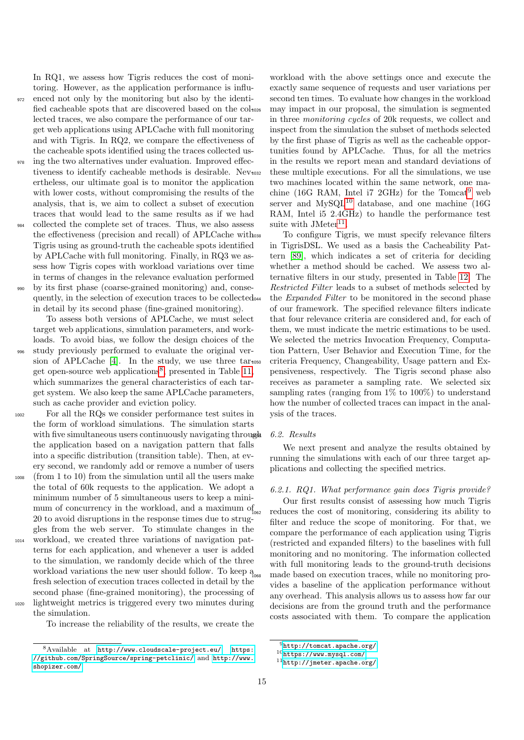In RQ1, we assess how Tigris reduces the cost of monitoring. However, as the application performance is influ-972 enced not only by the monitoring but also by the identified cacheable spots that are discovered based on the collected traces, we also compare the performance of our target web applications using APLCache with full monitoring and with Tigris. In RQ2, we compare the effectiveness of the cacheable spots identified using the traces collected us-

- <sup>978</sup> ing the two alternatives under evaluation. Improved effectiveness to identify cacheable methods is desirable. Nev<sub>1032</sub> ertheless, our ultimate goal is to monitor the application with lower costs, without compromising the results of the analysis, that is, we aim to collect a subset of execution traces that would lead to the same results as if we had
- <sup>984</sup> collected the complete set of traces. Thus, we also assess the effectiveness (precision and recall) of APLCache with Tigris using as ground-truth the cacheable spots identified by APLCache with full monitoring. Finally, in RQ3 we assess how Tigris copes with workload variations over time in terms of changes in the relevance evaluation performed by its first phase (coarse-grained monitoring) and, consequently, in the selection of execution traces to be collected

in detail by its second phase (fine-grained monitoring). To assess both versions of APLCache, we must select

target web applications, simulation parameters, and workloads. To avoid bias, we follow the design choices of the study previously performed to evaluate the original ver-sion of APLCache [\[4\]](#page-21-3). In the study, we use three  $tar<sub>1050</sub>$ get open-source web applications<sup>[8](#page-14-0)</sup>, presented in Table [11,](#page-15-1) which summarizes the general characteristics of each target system. We also keep the same APLCache parameters, such as cache provider and eviction policy.

<sup>1002</sup> For all the RQs we consider performance test suites in the form of workload simulations. The simulation starts with five simultaneous users continuously navigating through the application based on a navigation pattern that falls into a specific distribution (transition table). Then, at every second, we randomly add or remove a number of users

- <sup>1008</sup> (from 1 to 10) from the simulation until all the users make the total of 60k requests to the application. We adopt a minimum number of 5 simultaneous users to keep a minimum of concurrency in the workload, and a maximum  $of$ <sub>1062</sub> 20 to avoid disruptions in the response times due to struggles from the web server. To stimulate changes in the
- <sup>1014</sup> workload, we created three variations of navigation patterns for each application, and whenever a user is added to the simulation, we randomly decide which of the three workload variations the new user should follow. To keep a fresh selection of execution traces collected in detail by the second phase (fine-grained monitoring), the processing of <sup>1020</sup> lightweight metrics is triggered every two minutes during the simulation.

To increase the reliability of the results, we create the

workload with the above settings once and execute the exactly same sequence of requests and user variations per second ten times. To evaluate how changes in the workload may impact in our proposal, the simulation is segmented in three monitoring cycles of 20k requests, we collect and inspect from the simulation the subset of methods selected by the first phase of Tigris as well as the cacheable opportunities found by APLCache. Thus, for all the metrics in the results we report mean and standard deviations of these multiple executions. For all the simulations, we use two machines located within the same network, one machine (16G RAM, Intel i7 2GHz) for the  $Tomcat^9$  $Tomcat^9$  web server and  $MySQL^{10}$  $MySQL^{10}$  $MySQL^{10}$  database, and one machine (16G) RAM, Intel i5 2.4GHz) to handle the performance test suite with  $JMeter<sup>11</sup>$  $JMeter<sup>11</sup>$  $JMeter<sup>11</sup>$ .

To configure Tigris, we must specify relevance filters in TigrisDSL. We used as a basis the Cacheability Pattern [\[89\]](#page-24-19), which indicates a set of criteria for deciding whether a method should be cached. We assess two alternative filters in our study, presented in Table [12.](#page-15-2) The Restricted Filter leads to a subset of methods selected by the *Expanded Filter* to be monitored in the second phase of our framework. The specified relevance filters indicate that four relevance criteria are considered and, for each of them, we must indicate the metric estimations to be used. We selected the metrics Invocation Frequency, Computation Pattern, User Behavior and Execution Time, for the criteria Frequency, Changeability, Usage pattern and Expensiveness, respectively. The Tigris second phase also receives as parameter a sampling rate. We selected six sampling rates (ranging from  $1\%$  to  $100\%$ ) to understand how the number of collected traces can impact in the analysis of the traces.

#### 6.2. Results

We next present and analyze the results obtained by running the simulations with each of our three target applications and collecting the specified metrics.

#### 6.2.1. RQ1. What performance gain does Tigris provide?

Our first results consist of assessing how much Tigris reduces the cost of monitoring, considering its ability to filter and reduce the scope of monitoring. For that, we compare the performance of each application using Tigris (restricted and expanded filters) to the baselines with full monitoring and no monitoring. The information collected with full monitoring leads to the ground-truth decisions made based on execution traces, while no monitoring provides a baseline of the application performance without any overhead. This analysis allows us to assess how far our decisions are from the ground truth and the performance costs associated with them. To compare the application

<span id="page-14-0"></span><sup>8</sup>Available at <http://www.cloudscale-project.eu/>, [https:](https://github.com/SpringSource/spring-petclinic/) [//github.com/SpringSource/spring-petclinic/](https://github.com/SpringSource/spring-petclinic/) and [http://www.](http://www.shopizer.com/) [shopizer.com/](http://www.shopizer.com/).

<span id="page-14-1"></span> $^{9}$  <br><http://tomcat.apache.org/>  $\,$ 

<span id="page-14-2"></span><sup>10</sup><https://www.mysql.com/>

<span id="page-14-3"></span><sup>11</sup><http://jmeter.apache.org/>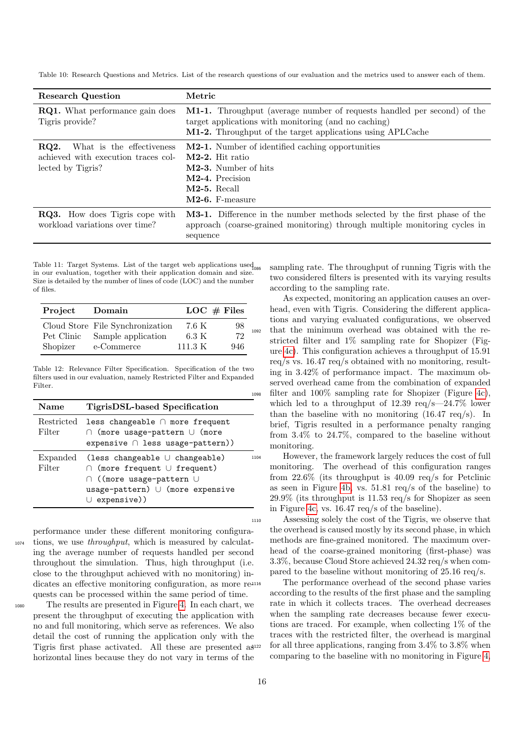<span id="page-15-0"></span>Table 10: Research Questions and Metrics. List of the research questions of our evaluation and the metrics used to answer each of them.

| <b>Research Question</b>                                                                      | Metric                                                                                                                                                                                        |
|-----------------------------------------------------------------------------------------------|-----------------------------------------------------------------------------------------------------------------------------------------------------------------------------------------------|
| <b>RQ1.</b> What performance gain does<br>Tigris provide?                                     | M1-1. Throughput (average number of requests handled per second) of the<br>target applications with monitoring (and no caching)<br>M1-2. Throughput of the target applications using APLCache |
| RQ2.<br>What is the effectiveness<br>achieved with execution traces col-<br>lected by Tigris? | <b>M2-1.</b> Number of identified caching opportunities<br>$M2-2$ . Hit ratio<br>M2-3. Number of hits<br>M2-4. Precision<br>$M2-5. Recall$<br>M2-6. F-measure                                 |
| <b>RQ3.</b> How does Tigris cope with<br>workload variations over time?                       | <b>M3-1.</b> Difference in the number methods selected by the first phase of the<br>approach (coarse-grained monitoring) through multiple monitoring cycles in<br>sequence                    |

<span id="page-15-1"></span>Table 11: Target Systems. List of the target web applications used<sub>nss</sub> in our evaluation, together with their application domain and size. Size is detailed by the number of lines of code (LOC) and the number of files.

| Project    | Domain                           |         | LOC $#$ Files |     |
|------------|----------------------------------|---------|---------------|-----|
|            | Cloud Store File Synchronization | 7.6 K   | 98            |     |
| Pet Clinic | Sample application               | 6.3 K   | 72            | 109 |
| Shopizer   | e-Commerce                       | 111.3 K | 946           |     |

<span id="page-15-2"></span>Table 12: Relevance Filter Specification. Specification of the two filters used in our evaluation, namely Restricted Filter and Expanded Filter.

| <b>Name</b>          | TigrisDSL-based Specification                                                                                                                                               |      |
|----------------------|-----------------------------------------------------------------------------------------------------------------------------------------------------------------------------|------|
| Restricted<br>Filter | less changeable $\cap$ more frequent<br>$\cap$ (more usage-pattern $\cup$ (more<br>expensive $\cap$ less usage-pattern))                                                    |      |
| Expanded<br>Filter   | (less changeable $\cup$ changeable)<br>$\cap$ (more frequent $\cup$ frequent)<br>∩ ((more usage-pattern ∪<br>$usage$ -pattern) $\cup$ (more expensive<br>$\cup$ expensive)) | 1104 |

performance under these different monitoring configura-<sup>1074</sup> tions, we use throughput, which is measured by calculating the average number of requests handled per second throughout the simulation. Thus, high throughput (i.e. close to the throughput achieved with no monitoring) indicates an effective monitoring configuration, as more re-1116 quests can be processed within the same period of time.

<sup>1080</sup> The results are presented in Figure [4.](#page-16-0) In each chart, we present the throughput of executing the application with no and full monitoring, which serve as references. We also detail the cost of running the application only with the Tigris first phase activated. All these are presented as horizontal lines because they do not vary in terms of the

sampling rate. The throughput of running Tigris with the two considered filters is presented with its varying results according to the sampling rate.

As expected, monitoring an application causes an overhead, even with Tigris. Considering the different applications and varying evaluated configurations, we observed that the minimum overhead was obtained with the restricted filter and 1% sampling rate for Shopizer (Figure [4c\)](#page-16-0). This configuration achieves a throughput of 15.91 req/s vs. 16.47 req/s obtained with no monitoring, resulting in 3.42% of performance impact. The maximum observed overhead came from the combination of expanded <sup>1098</sup> filter and 100% sampling rate for Shopizer (Figure [4c\)](#page-16-0), which led to a throughput of 12.39 req/s—24.7% lower than the baseline with no monitoring  $(16.47 \text{ reg/s})$ . In brief, Tigris resulted in a performance penalty ranging from 3.4% to 24.7%, compared to the baseline without monitoring.

However, the framework largely reduces the cost of full monitoring. The overhead of this configuration ranges from 22.6% (its throughput is 40.09 req/s for Petclinic as seen in Figure [4b,](#page-16-0) vs. 51.81 req/s of the baseline) to 29.9% (its throughput is 11.53 req/s for Shopizer as seen in Figure [4c,](#page-16-0) vs. 16.47 req/s of the baseline).

<sup>1110</sup> Assessing solely the cost of the Tigris, we observe that the overhead is caused mostly by its second phase, in which methods are fine-grained monitored. The maximum overhead of the coarse-grained monitoring (first-phase) was 3.3%, because Cloud Store achieved 24.32 req/s when compared to the baseline without monitoring of 25.16 req/s.

The performance overhead of the second phase varies according to the results of the first phase and the sampling rate in which it collects traces. The overhead decreases when the sampling rate decreases because fewer executions are traced. For example, when collecting 1% of the traces with the restricted filter, the overhead is marginal for all three applications, ranging from  $3.4\%$  to  $3.8\%$  when comparing to the baseline with no monitoring in Figure [4,](#page-16-0)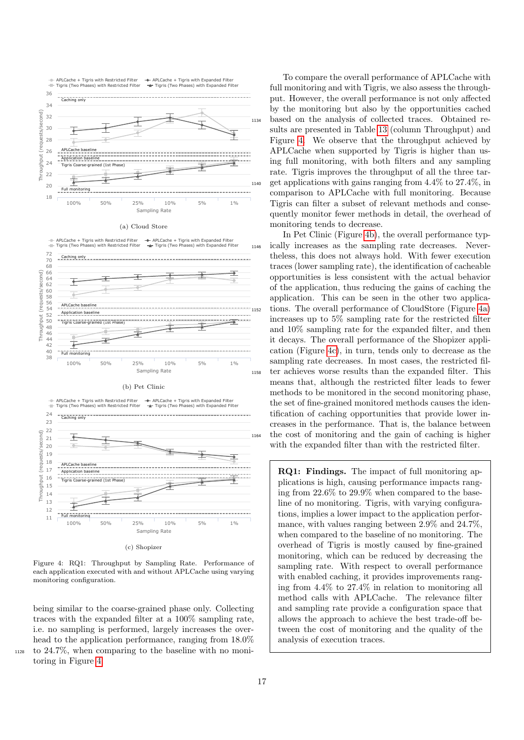<span id="page-16-0"></span>

Figure 4: RQ1: Throughput by Sampling Rate. Performance of each application executed with and without APLCache using varying monitoring configuration.

being similar to the coarse-grained phase only. Collecting traces with the expanded filter at a 100% sampling rate, i.e. no sampling is performed, largely increases the overhead to the application performance, ranging from  $18.0\%$ <sup>1128</sup> to 24.7%, when comparing to the baseline with no monitoring in Figure [4.](#page-16-0)

To compare the overall performance of APLCache with full monitoring and with Tigris, we also assess the throughput. However, the overall performance is not only affected by the monitoring but also by the opportunities cached <sup>1134</sup> based on the analysis of collected traces. Obtained results are presented in Table [13](#page-17-0) (column Throughput) and Figure [4.](#page-16-0) We observe that the throughput achieved by APLCache when supported by Tigris is higher than using full monitoring, with both filters and any sampling rate. Tigris improves the throughput of all the three tar- $_{1140}$  get applications with gains ranging from  $4.4\%$  to  $27.4\%$ , in comparison to APLCache with full monitoring. Because Tigris can filter a subset of relevant methods and consequently monitor fewer methods in detail, the overhead of monitoring tends to decrease.

In Pet Clinic (Figure [4b\)](#page-16-0), the overall performance typ-<sup>1146</sup> ically increases as the sampling rate decreases. Nevertheless, this does not always hold. With fewer execution traces (lower sampling rate), the identification of cacheable opportunities is less consistent with the actual behavior of the application, thus reducing the gains of caching the application. This can be seen in the other two applica-<sup>1152</sup> tions. The overall performance of CloudStore (Figure [4a\)](#page-16-0) increases up to 5% sampling rate for the restricted filter and 10% sampling rate for the expanded filter, and then it decays. The overall performance of the Shopizer application (Figure [4c\)](#page-16-0), in turn, tends only to decrease as the sampling rate decreases. In most cases, the restricted filter achieves worse results than the expanded filter. This means that, although the restricted filter leads to fewer methods to be monitored in the second monitoring phase, the set of fine-grained monitored methods causes the identification of caching opportunities that provide lower increases in the performance. That is, the balance between <sup>1164</sup> the cost of monitoring and the gain of caching is higher with the expanded filter than with the restricted filter.

> RQ1: Findings. The impact of full monitoring applications is high, causing performance impacts ranging from 22.6% to 29.9% when compared to the baseline of no monitoring. Tigris, with varying configurations, implies a lower impact to the application performance, with values ranging between 2.9% and 24.7%, when compared to the baseline of no monitoring. The overhead of Tigris is mostly caused by fine-grained monitoring, which can be reduced by decreasing the sampling rate. With respect to overall performance with enabled caching, it provides improvements ranging from 4.4% to 27.4% in relation to monitoring all method calls with APLCache. The relevance filter and sampling rate provide a configuration space that allows the approach to achieve the best trade-off between the cost of monitoring and the quality of the analysis of execution traces.

17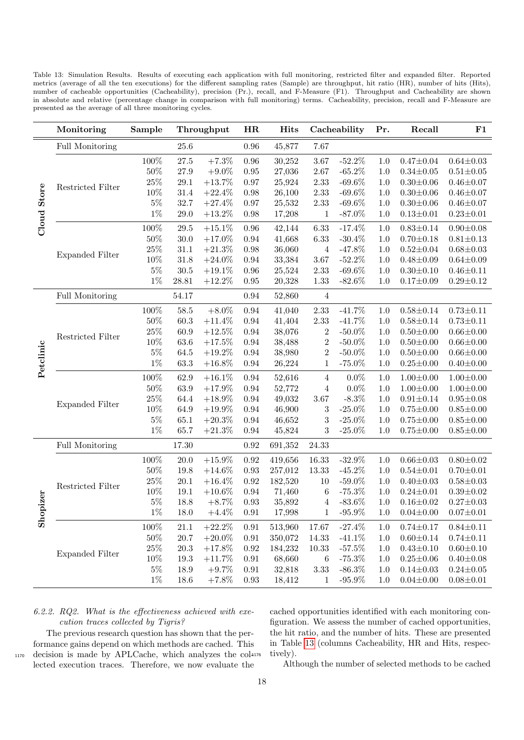<span id="page-17-0"></span>Table 13: Simulation Results. Results of executing each application with full monitoring, restricted filter and expanded filter. Reported metrics (average of all the ten executions) for the different sampling rates (Sample) are throughput, hit ratio (HR), number of hits (Hits), number of cacheable opportunities (Cacheability), precision (Pr.), recall, and F-Measure (F1). Throughput and Cacheability are shown in absolute and relative (percentage change in comparison with full monitoring) terms. Cacheability, precision, recall and F-Measure are presented as the average of all three monitoring cycles.

|                    | Monitoring             | Sample  |          | Throughput | HR         | <b>Hits</b> |                  | Cacheability | Pr.     | Recall          | F1              |
|--------------------|------------------------|---------|----------|------------|------------|-------------|------------------|--------------|---------|-----------------|-----------------|
| <b>Cloud Store</b> | Full Monitoring        |         | $25.6\,$ |            | $0.96\,$   | 45,877      | 7.67             |              |         |                 |                 |
|                    | Restricted Filter      | 100%    | $27.5\,$ | $+7.3%$    | $0.96\,$   | 30,252      | 3.67             | $-52.2\%$    | 1.0     | $0.47 \pm 0.04$ | $0.64 \pm 0.03$ |
|                    |                        | $50\%$  | 27.9     | $+9.0\%$   | 0.95       | 27,036      | 2.67             | $-65.2\%$    | 1.0     | $0.34 + 0.05$   | $0.51 \pm 0.05$ |
|                    |                        | $25\%$  | 29.1     | $+13.7%$   | 0.97       | 25,924      | 2.33             | $-69.6\%$    | 1.0     | $0.30 \pm 0.06$ | $0.46 \pm 0.07$ |
|                    |                        | 10%     | $31.4\,$ | $+22.4\%$  | 0.98       | 26,100      | 2.33             | $-69.6\%$    | 1.0     | $0.30 \pm 0.06$ | $0.46 \pm 0.07$ |
|                    |                        | $5\%$   | 32.7     | $+27.4%$   | 0.97       | 25,532      | $2.33\,$         | $-69.6\%$    | 1.0     | $0.30 + 0.06$   | $0.46 \pm 0.07$ |
|                    |                        | $1\%$   | $29.0\,$ | $+13.2\%$  | $0.98\,$   | 17,208      | $\mathbf{1}$     | $-87.0\%$    | 1.0     | $0.13 \pm 0.01$ | $0.23 \pm 0.01$ |
|                    |                        | 100%    | 29.5     | $+15.1\%$  | $0.96\,$   | 42,144      | 6.33             | $-17.4%$     | 1.0     | $0.83 \pm 0.14$ | $0.90 \pm 0.08$ |
|                    |                        | $50\%$  | 30.0     | $+17.0\%$  | 0.94       | 41,668      | 6.33             | $-30.4\%$    | 1.0     | $0.70 \pm 0.18$ | $0.81 \pm 0.13$ |
|                    | <b>Expanded Filter</b> | $25\%$  | 31.1     | $+21.3%$   | 0.98       | 36,060      | $\overline{4}$   | $-47.8\%$    | 1.0     | $0.52 \pm 0.04$ | $0.68 + 0.03$   |
|                    |                        | 10%     | 31.8     | $+24.0\%$  | 0.94       | 33,384      | 3.67             | $-52.2\%$    | 1.0     | $0.48 + 0.09$   | $0.64 \pm 0.09$ |
|                    |                        | $5\%$   | 30.5     | $+19.1\%$  | $0.96\,$   | 25,524      | 2.33             | $-69.6\%$    | 1.0     | $0.30 \pm 0.10$ | $0.46 \pm 0.11$ |
|                    |                        | $1\%$   | 28.81    | $+12.2\%$  | 0.95       | 20,328      | 1.33             | $-82.6\%$    | 1.0     | $0.17 \pm 0.09$ | $0.29 \pm 0.12$ |
| Petclinic          | Full Monitoring        |         | 54.17    |            | 0.94       | 52,860      | $\overline{4}$   |              |         |                 |                 |
|                    | Restricted Filter      | $100\%$ | $58.5\,$ | $+8.0\%$   | 0.94       | 41,040      | $2.33\,$         | $-41.7\%$    | $1.0\,$ | $0.58 \pm 0.14$ | $0.73 \pm 0.11$ |
|                    |                        | $50\%$  | $60.3\,$ | $+11.4\%$  | 0.94       | 41,404      | $2.33\,$         | $-41.7%$     | 1.0     | $0.58 \pm 0.14$ | $0.73 \pm 0.11$ |
|                    |                        | $25\%$  | 60.9     | $+12.5%$   | 0.94       | 38,076      | $\sqrt{2}$       | $-50.0\%$    | 1.0     | $0.50 + 0.00$   | $0.66 \pm 0.00$ |
|                    |                        | 10%     | 63.6     | $+17.5%$   | 0.94       | 38,488      | $\overline{2}$   | $-50.0\%$    | 1.0     | $0.50 \pm 0.00$ | $0.66 \pm 0.00$ |
|                    |                        | $5\%$   | 64.5     | $+19.2\%$  | 0.94       | 38,980      | $\boldsymbol{2}$ | $-50.0\%$    | 1.0     | $0.50 \pm 0.00$ | $0.66 \pm 0.00$ |
|                    |                        | $1\%$   | 63.3     | $+16.8\%$  | $\,0.94$   | 26,224      | $\,1$            | $-75.0\%$    | 1.0     | $0.25 \pm 0.00$ | $0.40{\pm}0.00$ |
|                    |                        | 100%    | 62.9     | $+16.1\%$  | 0.94       | 52,616      | $\overline{4}$   | $0.0\%$      | 1.0     | $1.00 \pm 0.00$ | $1.00 \pm 0.00$ |
|                    | <b>Expanded Filter</b> | $50\%$  | 63.9     | $+17.9\%$  | 0.94       | 52,772      | $\overline{4}$   | $0.0\%$      | 1.0     | $1.00 \pm 0.00$ | $1.00 \pm 0.00$ |
|                    |                        | $25\%$  | 64.4     | $+18.9\%$  | 0.94       | 49,032      | 3.67             | $-8.3\%$     | 1.0     | $0.91 \pm 0.14$ | $0.95 \pm 0.08$ |
|                    |                        | 10%     | 64.9     | $+19.9\%$  | 0.94       | 46,900      | $\boldsymbol{3}$ | $-25.0\%$    | 1.0     | $0.75 \pm 0.00$ | $0.85 \pm 0.00$ |
|                    |                        | $5\%$   | 65.1     | $+20.3\%$  | 0.94       | 46,652      | 3                | $-25.0\%$    | 1.0     | $0.75 \pm 0.00$ | $0.85 \pm 0.00$ |
|                    |                        | $1\%$   | 65.7     | $+21.3\%$  | 0.94       | 45,824      | 3                | $-25.0\%$    | 1.0     | $0.75 \pm 0.00$ | $0.85 \pm 0.00$ |
|                    | Full Monitoring        |         | 17.30    |            | 0.92       | 691,352     | 24.33            |              |         |                 |                 |
|                    | Restricted Filter      | 100%    | 20.0     | $+15.9\%$  | 0.92       | 419,656     | 16.33            | $-32.9\%$    | 1.0     | $0.66 \pm 0.03$ | $0.80 \pm 0.02$ |
|                    |                        | $50\%$  | 19.8     | $+14.6\%$  | 0.93       | 257,012     | 13.33            | $-45.2\%$    | 1.0     | $0.54 \pm 0.01$ | $0.70 \pm 0.01$ |
|                    |                        | $25\%$  | 20.1     | $+16.4\%$  | 0.92       | 182,520     | 10               | $-59.0\%$    | 1.0     | $0.40 \pm 0.03$ | $0.58 + 0.03$   |
|                    |                        | $10\%$  | 19.1     | $+10.6\%$  | 0.94       | 71,460      | $\boldsymbol{6}$ | $-75.3%$     | 1.0     | $0.24 \pm 0.01$ | $0.39 + 0.02$   |
| opizer             |                        | $5\%$   | 18.8     | $+8.7\%$   | 0.93       | 35,892      | 4                | $-83.6\%$    | $1.0\,$ | $0.16 \pm 0.02$ | $0.27 \pm 0.03$ |
| $\tilde{5}$        |                        | $1\%$   | 18.0     | $+4.4\%$   | 0.91       | 17,998      | 1                | $-95.9\%$    | 1.0     | $0.04 \pm 0.00$ | $0.07 \pm 0.01$ |
|                    | <b>Expanded Filter</b> | $100\%$ | 21.1     | $+22.2\%$  | 0.91       | 513,960     | 17.67            | $-27.4%$     | 1.0     | $0.74 \pm 0.17$ | $0.84 \pm 0.11$ |
|                    |                        | $50\%$  | $20.7\,$ | $+20.0\%$  | $\rm 0.91$ | 350,072     | 14.33            | $-41.1\%$    | $1.0\,$ | $0.60 \pm 0.14$ | $0.74 \pm 0.11$ |
|                    |                        | 25%     | $20.3\,$ | $+17.8\%$  | 0.92       | 184,232     | 10.33            | $-57.5%$     | 1.0     | $0.43 \pm 0.10$ | $0.60 \pm 0.10$ |
|                    |                        | 10\%    | 19.3     | $+11.7%$   | $0.91\,$   | 68,660      | $\,6$            | $-75.3%$     | 1.0     | $0.25 \pm 0.06$ | $0.40 \pm 0.08$ |
|                    |                        | $5\%$   | 18.9     | $+9.7\%$   | $\rm 0.91$ | 32,818      | $3.33\,$         | $-86.3\%$    | 1.0     | $0.14 \pm 0.03$ | $0.24 \pm 0.05$ |
|                    |                        | $1\%$   | 18.6     | $+7.8\%$   | 0.93       | 18,412      | $\mathbf{1}$     | $-95.9\%$    | 1.0     | $0.04 \pm 0.00$ | $0.08 \pm 0.01$ |

## 6.2.2. RQ2. What is the effectiveness achieved with execution traces collected by Tigris?

The previous research question has shown that the performance gains depend on which methods are cached. This 1170 decision is made by APLCache, which analyzes the col-1176 lected execution traces. Therefore, we now evaluate the

cached opportunities identified with each monitoring configuration. We assess the number of cached opportunities, the hit ratio, and the number of hits. These are presented in Table [13](#page-17-0) (columns Cacheability, HR and Hits, respectively).

Although the number of selected methods to be cached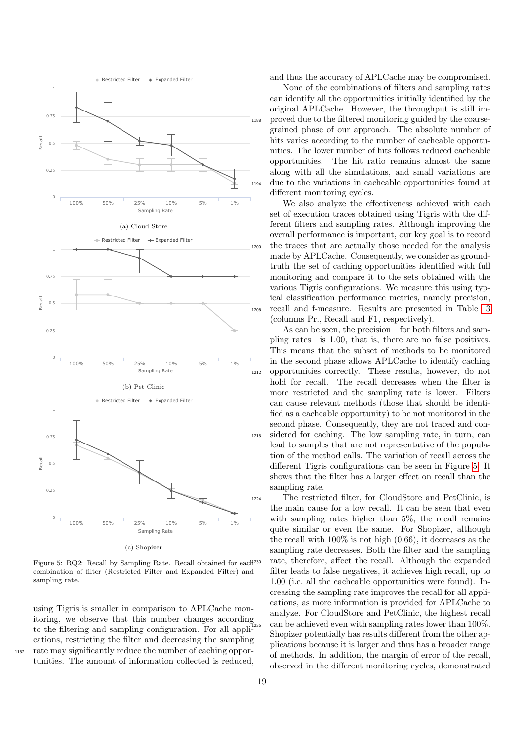<span id="page-18-0"></span>

Figure 5: RQ2: Recall by Sampling Rate. Recall obtained for each<br> $^{230}$ combination of filter (Restricted Filter and Expanded Filter) and sampling rate.

using Tigris is smaller in comparison to APLCache monitoring, we observe that this number changes according to the filtering and sampling configuration. For all applications, restricting the filter and decreasing the sampling <sup>1182</sup> rate may significantly reduce the number of caching opportunities. The amount of information collected is reduced,

and thus the accuracy of APLCache may be compromised.

None of the combinations of filters and sampling rates can identify all the opportunities initially identified by the original APLCache. However, the throughput is still im-<sup>1188</sup> proved due to the filtered monitoring guided by the coarsegrained phase of our approach. The absolute number of hits varies according to the number of cacheable opportunities. The lower number of hits follows reduced cacheable opportunities. The hit ratio remains almost the same along with all the simulations, and small variations are <sup>1194</sup> due to the variations in cacheable opportunities found at different monitoring cycles.

We also analyze the effectiveness achieved with each set of execution traces obtained using Tigris with the different filters and sampling rates. Although improving the overall performance is important, our key goal is to record the traces that are actually those needed for the analysis made by APLCache. Consequently, we consider as groundtruth the set of caching opportunities identified with full monitoring and compare it to the sets obtained with the various Tigris configurations. We measure this using typical classification performance metrics, namely precision, <sup>1206</sup> recall and f-measure. Results are presented in Table [13](#page-17-0) (columns Pr., Recall and F1, respectively).

As can be seen, the precision—for both filters and sampling rates—is 1.00, that is, there are no false positives. This means that the subset of methods to be monitored in the second phase allows APLCache to identify caching <sup>1212</sup> opportunities correctly. These results, however, do not hold for recall. The recall decreases when the filter is more restricted and the sampling rate is lower. Filters can cause relevant methods (those that should be identified as a cacheable opportunity) to be not monitored in the second phase. Consequently, they are not traced and con-<sup>1218</sup> sidered for caching. The low sampling rate, in turn, can lead to samples that are not representative of the population of the method calls. The variation of recall across the different Tigris configurations can be seen in Figure [5.](#page-18-0) It shows that the filter has a larger effect on recall than the sampling rate.

<sup>1224</sup> The restricted filter, for CloudStore and PetClinic, is the main cause for a low recall. It can be seen that even with sampling rates higher than 5%, the recall remains quite similar or even the same. For Shopizer, although the recall with 100% is not high (0.66), it decreases as the sampling rate decreases. Both the filter and the sampling rate, therefore, affect the recall. Although the expanded filter leads to false negatives, it achieves high recall, up to 1.00 (i.e. all the cacheable opportunities were found). Increasing the sampling rate improves the recall for all applications, as more information is provided for APLCache to analyze. For CloudStore and PetClinic, the highest recall can be achieved even with sampling rates lower than  $100\%$ . Shopizer potentially has results different from the other applications because it is larger and thus has a broader range of methods. In addition, the margin of error of the recall, observed in the different monitoring cycles, demonstrated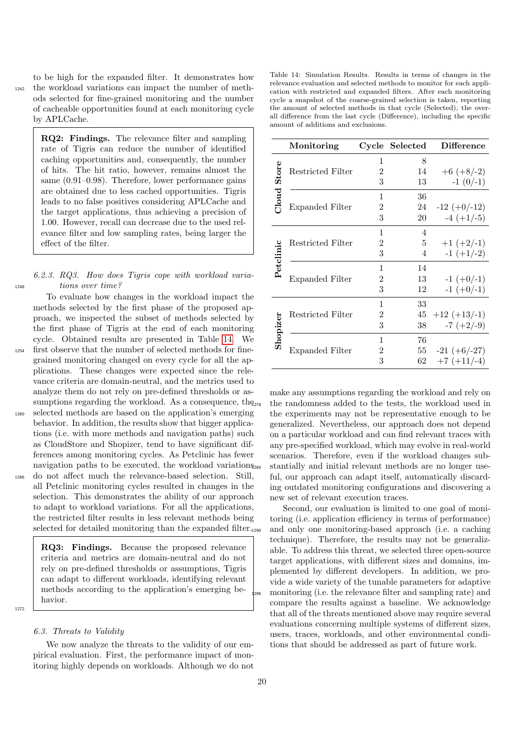to be high for the expanded filter. It demonstrates how <sup>1242</sup> the workload variations can impact the number of methods selected for fine-grained monitoring and the number of cacheable opportunities found at each monitoring cycle by APLCache.

> RQ2: Findings. The relevance filter and sampling rate of Tigris can reduce the number of identified caching opportunities and, consequently, the number of hits. The hit ratio, however, remains almost the same (0.91–0.98). Therefore, lower performance gains are obtained due to less cached opportunities. Tigris leads to no false positives considering APLCache and the target applications, thus achieving a precision of 1.00. However, recall can decrease due to the used relevance filter and low sampling rates, being larger the effect of the filter.

## 6.2.3. RQ3. How does Tigris cope with workload varia-<sup>1248</sup> tions over time?

To evaluate how changes in the workload impact the methods selected by the first phase of the proposed approach, we inspected the subset of methods selected by the first phase of Tigris at the end of each monitoring cycle. Obtained results are presented in Table [14.](#page-19-0) We <sup>1254</sup> first observe that the number of selected methods for finegrained monitoring changed on every cycle for all the applications. These changes were expected since the relevance criteria are domain-neutral, and the metrics used to analyze them do not rely on pre-defined thresholds or assumptions regarding the workload. As a consequence, the<sub>278</sub> <sup>1260</sup> selected methods are based on the application's emerging behavior. In addition, the results show that bigger applications (i.e. with more methods and navigation paths) such as CloudStore and Shopizer, tend to have significant differences among monitoring cycles. As Petclinic has fewer navigation paths to be executed, the workload variations<sub>284</sub> <sup>1266</sup> do not affect much the relevance-based selection. Still, all Petclinic monitoring cycles resulted in changes in the

selection. This demonstrates the ability of our approach to adapt to workload variations. For all the applications, the restricted filter results in less relevant methods being selected for detailed monitoring than the expanded filter.

RQ3: Findings. Because the proposed relevance criteria and metrics are domain-neutral and do not rely on pre-defined thresholds or assumptions, Tigris can adapt to different workloads, identifying relevant methods according to the application's emerging behavior.

1272

### 6.3. Threats to Validity

We now analyze the threats to the validity of our empirical evaluation. First, the performance impact of monitoring highly depends on workloads. Although we do not

<span id="page-19-0"></span>

| Table 14: Simulation Results. Results in terms of changes in the        |
|-------------------------------------------------------------------------|
| relevance evaluation and selected methods to monitor for each appli-    |
| cation with restricted and expanded filters. After each monitoring      |
| cycle a snapshot of the coarse-grained selection is taken, reporting    |
| the amount of selected methods in that cycle (Selected), the over-      |
| all difference from the last cycle (Difference), including the specific |
| amount of additions and exclusions.                                     |

|                | Monitoring             |                | Cycle Selected | <b>Difference</b> |
|----------------|------------------------|----------------|----------------|-------------------|
| Store<br>Cloud |                        | 1              | 8              |                   |
|                | Restricted Filter      | 2              | 14             | $+6 (+8/-2)$      |
|                |                        | 3              | 13             | $-1(0/-1)$        |
|                |                        | 1              | 36             |                   |
|                | Expanded Filter        | 2              | 24             | $-12 (+0/-12)$    |
|                |                        | 3              | 20             | $-4 (+1/-5)$      |
| Petclinic      | Restricted Filter      | 1              | 4              |                   |
|                |                        | $\overline{2}$ | 5              | $+1 (+2/-1)$      |
|                |                        | 3              | 4              | $-1(+1/-2)$       |
|                | Expanded Filter        | 1              | 14             |                   |
|                |                        | 2              | 13             | $-1 (+0/-1)$      |
|                |                        | 3              | 12             | $-1 (+0/-1)$      |
| Shopizer       |                        | 1              | 33             |                   |
|                | Restricted Filter      | 2              | 45             | $+12 (+13/-1)$    |
|                |                        | 3              | 38             | $-7 (+2/-9)$      |
|                | <b>Expanded Filter</b> | 1              | 76             |                   |
|                |                        | 2              | 55             | $-21 (+6/-27)$    |
|                |                        | 3              | 62             | $+7(+11/-4)$      |

make any assumptions regarding the workload and rely on the randomness added to the tests, the workload used in the experiments may not be representative enough to be generalized. Nevertheless, our approach does not depend on a particular workload and can find relevant traces with any pre-specified workload, which may evolve in real-world scenarios. Therefore, even if the workload changes substantially and initial relevant methods are no longer useful, our approach can adapt itself, automatically discarding outdated monitoring configurations and discovering a new set of relevant execution traces.

Second, our evaluation is limited to one goal of monitoring (i.e. application efficiency in terms of performance) and only one monitoring-based approach (i.e. a caching technique). Therefore, the results may not be generalizable. To address this threat, we selected three open-source target applications, with different sizes and domains, implemented by different developers. In addition, we provide a wide variety of the tunable parameters for adaptive <sup>1296</sup> monitoring (i.e. the relevance filter and sampling rate) and compare the results against a baseline. We acknowledge that all of the threats mentioned above may require several evaluations concerning multiple systems of different sizes, users, traces, workloads, and other environmental conditions that should be addressed as part of future work.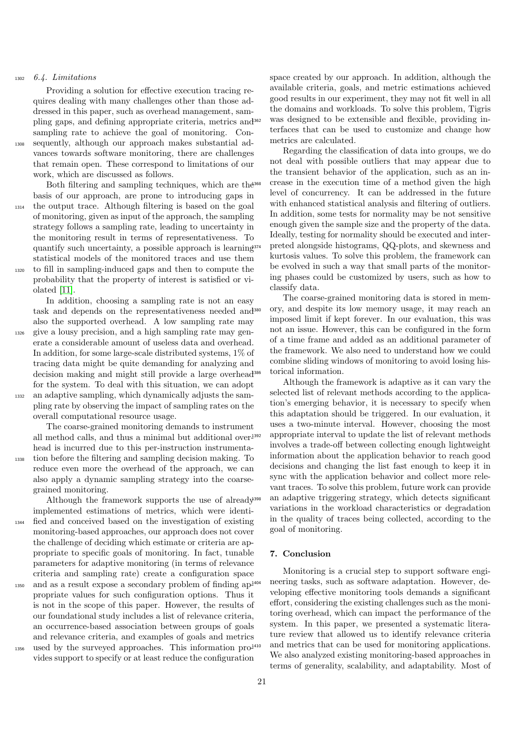#### <sup>1302</sup> 6.4. Limitations

Providing a solution for effective execution tracing requires dealing with many challenges other than those addressed in this paper, such as overhead management, sampling gaps, and defining appropriate criteria, metrics and sampling rate to achieve the goal of monitoring. Con-<sup>1308</sup> sequently, although our approach makes substantial advances towards software monitoring, there are challenges that remain open. These correspond to limitations of our work, which are discussed as follows.

Both filtering and sampling techniques, which are the <sup>368</sup> basis of our approach, are prone to introducing gaps in <sup>1314</sup> the output trace. Although filtering is based on the goal of monitoring, given as input of the approach, the sampling strategy follows a sampling rate, leading to uncertainty in the monitoring result in terms of representativeness. To quantify such uncertainty, a possible approach is learning statistical models of the monitored traces and use them <sup>1320</sup> to fill in sampling-induced gaps and then to compute the probability that the property of interest is satisfied or violated [\[11\]](#page-21-10).

In addition, choosing a sampling rate is not an easy task and depends on the representativeness needed and also the supported overhead. A low sampling rate may give a lousy precision, and a high sampling rate may generate a considerable amount of useless data and overhead. In addition, for some large-scale distributed systems, 1% of tracing data might be quite demanding for analyzing and decision making and might still provide a large overhead for the system. To deal with this situation, we can adopt <sup>1332</sup> an adaptive sampling, which dynamically adjusts the sampling rate by observing the impact of sampling rates on the

overall computational resource usage.

The coarse-grained monitoring demands to instrument all method calls, and thus a minimal but additional over<sup>1392</sup> head is incurred due to this per-instruction instrumenta-<sup>1338</sup> tion before the filtering and sampling decision making. To reduce even more the overhead of the approach, we can

also apply a dynamic sampling strategy into the coarsegrained monitoring. Although the framework supports the use of already<sup>398</sup>

implemented estimations of metrics, which were identi-<sup>1344</sup> fied and conceived based on the investigation of existing monitoring-based approaches, our approach does not cover the challenge of deciding which estimate or criteria are appropriate to specific goals of monitoring. In fact, tunable parameters for adaptive monitoring (in terms of relevance criteria and sampling rate) create a configuration space

- $_{1350}$  and as a result expose a secondary problem of finding ap $^{1404}$ propriate values for such configuration options. Thus it is not in the scope of this paper. However, the results of our foundational study includes a list of relevance criteria, an occurrence-based association between groups of goals and relevance criteria, and examples of goals and metrics used by the surveyed approaches. This information  $pro^{1410}$
- vides support to specify or at least reduce the configuration

space created by our approach. In addition, although the available criteria, goals, and metric estimations achieved good results in our experiment, they may not fit well in all the domains and workloads. To solve this problem, Tigris was designed to be extensible and flexible, providing interfaces that can be used to customize and change how metrics are calculated.

Regarding the classification of data into groups, we do not deal with possible outliers that may appear due to the transient behavior of the application, such as an increase in the execution time of a method given the high level of concurrency. It can be addressed in the future with enhanced statistical analysis and filtering of outliers. In addition, some tests for normality may be not sensitive enough given the sample size and the property of the data. Ideally, testing for normality should be executed and interpreted alongside histograms, QQ-plots, and skewness and kurtosis values. To solve this problem, the framework can be evolved in such a way that small parts of the monitoring phases could be customized by users, such as how to classify data.

The coarse-grained monitoring data is stored in memory, and despite its low memory usage, it may reach an imposed limit if kept forever. In our evaluation, this was not an issue. However, this can be configured in the form of a time frame and added as an additional parameter of the framework. We also need to understand how we could combine sliding windows of monitoring to avoid losing historical information.

Although the framework is adaptive as it can vary the selected list of relevant methods according to the application's emerging behavior, it is necessary to specify when this adaptation should be triggered. In our evaluation, it uses a two-minute interval. However, choosing the most appropriate interval to update the list of relevant methods involves a trade-off between collecting enough lightweight information about the application behavior to reach good decisions and changing the list fast enough to keep it in sync with the application behavior and collect more relevant traces. To solve this problem, future work can provide an adaptive triggering strategy, which detects significant variations in the workload characteristics or degradation in the quality of traces being collected, according to the goal of monitoring.

## <span id="page-20-0"></span>7. Conclusion

Monitoring is a crucial step to support software engineering tasks, such as software adaptation. However, developing effective monitoring tools demands a significant effort, considering the existing challenges such as the monitoring overhead, which can impact the performance of the system. In this paper, we presented a systematic literature review that allowed us to identify relevance criteria and metrics that can be used for monitoring applications. We also analyzed existing monitoring-based approaches in terms of generality, scalability, and adaptability. Most of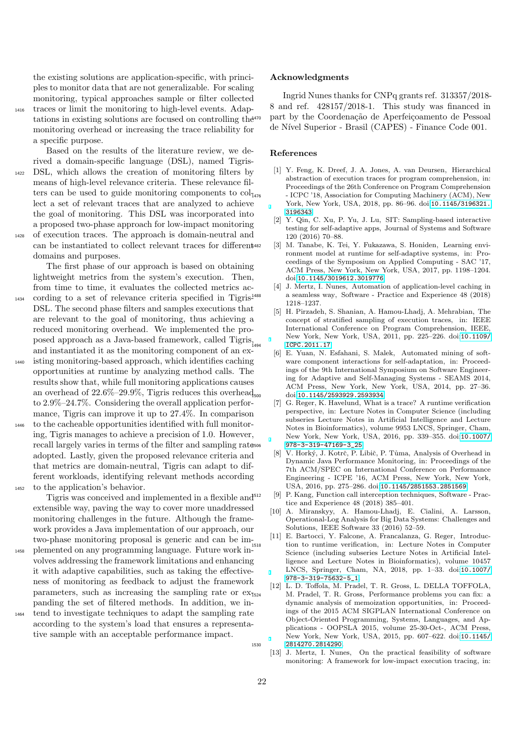the existing solutions are application-specific, with principles to monitor data that are not generalizable. For scaling monitoring, typical approaches sample or filter collected <sup>1416</sup> traces or limit the monitoring to high-level events. Adap-

tations in existing solutions are focused on controlling the monitoring overhead or increasing the trace reliability for a specific purpose.

Based on the results of the literature review, we derived a domain-specific language (DSL), named Tigris-DSL, which allows the creation of monitoring filters by means of high-level relevance criteria. These relevance filters can be used to guide monitoring components to  $col<sub>1476</sub>$ lect a set of relevant traces that are analyzed to achieve the goal of monitoring. This DSL was incorporated into a proposed two-phase approach for low-impact monitoring <sup>1428</sup> of execution traces. The approach is domain-neutral and

can be instantiated to collect relevant traces for different domains and purposes.

The first phase of our approach is based on obtaining lightweight metrics from the system's execution. Then, from time to time, it evaluates the collected metrics ac-<sup>1434</sup> cording to a set of relevance criteria specified in Tigris-DSL. The second phase filters and samples executions that are relevant to the goal of monitoring, thus achieving a reduced monitoring overhead. We implemented the proposed approach as a Java-based framework, called Tigris,

- and instantiated it as the monitoring component of an ex-<sup>1440</sup> isting monitoring-based approach, which identifies caching opportunities at runtime by analyzing method calls. The results show that, while full monitoring applications causes an overhead of  $22.6\%$  –  $29.9\%$ , Tigris reduces this overhead<sub>soo</sub> to 2.9%–24.7%. Considering the overall application performance, Tigris can improve it up to 27.4%. In comparison
- <sup>1446</sup> to the cacheable opportunities identified with full monitoring, Tigris manages to achieve a precision of 1.0. However, recall largely varies in terms of the filter and sampling rate adopted. Lastly, given the proposed relevance criteria and that metrics are domain-neutral, Tigris can adapt to different workloads, identifying relevant methods according <sup>1452</sup> to the application's behavior.

Tigris was conceived and implemented in a flexible and<sup>512</sup> extensible way, paving the way to cover more unaddressed monitoring challenges in the future. Although the framework provides a Java implementation of our approach, our two-phase monitoring proposal is generic and can be im-

- <sup>1458</sup> plemented on any programming language. Future work involves addressing the framework limitations and enhancing it with adaptive capabilities, such as taking the effectiveness of monitoring as feedback to adjust the framework parameters, such as increasing the sampling rate or  $ex_{\overline{1524}}$ panding the set of filtered methods. In addition, we in-
- tend to investigate techniques to adapt the sampling rate according to the system's load that ensures a representative sample with an acceptable performance impact.

#### Acknowledgments

Ingrid Nunes thanks for CNPq grants ref. 313357/2018- 8 and ref. 428157/2018-1. This study was financed in part by the Coordenação de Aperfeiçoamento de Pessoal de Nível Superior - Brasil (CAPES) - Finance Code 001.

#### References

- <span id="page-21-0"></span>[1] Y. Feng, K. Dreef, J. A. Jones, A. van Deursen, Hierarchical abstraction of execution traces for program comprehension, in: Proceedings of the 26th Conference on Program Comprehension - ICPC '18, Association for Computing Machinery (ACM), New York, New York, USA, 2018, pp. 86–96. doi:[10.1145/3196321.](http://dx.doi.org/10.1145/3196321.3196343) [3196343](http://dx.doi.org/10.1145/3196321.3196343).
- <span id="page-21-1"></span>[2] Y. Qin, C. Xu, P. Yu, J. Lu, SIT: Sampling-based interactive testing for self-adaptive apps, Journal of Systems and Software 120 (2016) 70–88.
- <span id="page-21-2"></span>[3] M. Tanabe, K. Tei, Y. Fukazawa, S. Honiden, Learning environment model at runtime for self-adaptive systems, in: Proceedings of the Symposium on Applied Computing - SAC '17, ACM Press, New York, New York, USA, 2017, pp. 1198–1204. doi:[10.1145/3019612.3019776](http://dx.doi.org/10.1145/3019612.3019776).
- <span id="page-21-3"></span>[4] J. Mertz, I. Nunes, Automation of application-level caching in a seamless way, Software - Practice and Experience 48 (2018) 1218–1237.
- <span id="page-21-4"></span>[5] H. Pirzadeh, S. Shanian, A. Hamou-Lhadj, A. Mehrabian, The concept of stratified sampling of execution traces, in: IEEE International Conference on Program Comprehension, IEEE, New York, New York, USA, 2011, pp. 225–226. doi:[10.1109/](http://dx.doi.org/10.1109/ICPC.2011.17) <sup>1494</sup> [ICPC.2011.17](http://dx.doi.org/10.1109/ICPC.2011.17).
- <span id="page-21-5"></span>[6] E. Yuan, N. Esfahani, S. Malek, Automated mining of software component interactions for self-adaptation, in: Proceedings of the 9th International Symposium on Software Engineering for Adaptive and Self-Managing Systems - SEAMS 2014, ACM Press, New York, New York, USA, 2014, pp. 27–36. <sup>1500</sup> doi:[10.1145/2593929.2593934](http://dx.doi.org/10.1145/2593929.2593934).
- <span id="page-21-6"></span>[7] G. Reger, K. Havelund, What is a trace? A runtime verification perspective, in: Lecture Notes in Computer Science (including subseries Lecture Notes in Artificial Intelligence and Lecture Notes in Bioinformatics), volume 9953 LNCS, Springer, Cham, New York, New York, USA, 2016, pp. 339–355. doi:[10.1007/](http://dx.doi.org/10.1007/978-3-319-47169-3_25) [978-3-319-47169-3\\_25](http://dx.doi.org/10.1007/978-3-319-47169-3_25).
- <span id="page-21-7"></span>[8] V. Horký, J. Kotrč, P. Libič, P. Tůma, Analysis of Overhead in Dynamic Java Performance Monitoring, in: Proceedings of the 7th ACM/SPEC on International Conference on Performance Engineering - ICPE '16, ACM Press, New York, New York, USA, 2016, pp. 275–286. doi:[10.1145/2851553.2851569](http://dx.doi.org/10.1145/2851553.2851569).
- <span id="page-21-8"></span>[9] P. Kang, Function call interception techniques, Software - Practice and Experience 48 (2018) 385–401.
- <span id="page-21-9"></span>[10] A. Miranskyy, A. Hamou-Lhadj, E. Cialini, A. Larsson, Operational-Log Analysis for Big Data Systems: Challenges and Solutions, IEEE Software 33 (2016) 52–59.
- <span id="page-21-10"></span>[11] E. Bartocci, Y. Falcone, A. Francalanza, G. Reger, Introduction to runtime verification, in: Lecture Notes in Computer Science (including subseries Lecture Notes in Artificial Intelligence and Lecture Notes in Bioinformatics), volume 10457 LNCS, Springer, Cham, NA, 2018, pp. 1–33. doi:[10.1007/](http://dx.doi.org/10.1007/978-3-319-75632-5_1) [978-3-319-75632-5\\_1](http://dx.doi.org/10.1007/978-3-319-75632-5_1).
- <span id="page-21-12"></span><span id="page-21-11"></span>[12] L. D. Toffola, M. Pradel, T. R. Gross, L. DELLA TOFFOLA, M. Pradel, T. R. Gross, Performance problems you can fix: a dynamic analysis of memoization opportunities, in: Proceedings of the 2015 ACM SIGPLAN International Conference on Object-Oriented Programming, Systems, Languages, and Applications - OOPSLA 2015, volume 25-30-Oct-, ACM Press, New York, New York, USA, 2015, pp. 607–622. doi:[10.1145/](http://dx.doi.org/10.1145/2814270.2814290) <sup>1530</sup> [2814270.2814290](http://dx.doi.org/10.1145/2814270.2814290).
	- [13] J. Mertz, I. Nunes, On the practical feasibility of software monitoring: A framework for low-impact execution tracing, in: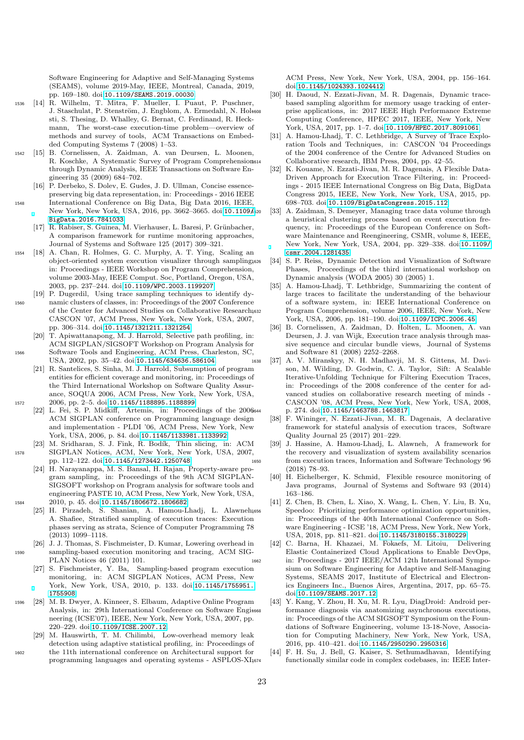Software Engineering for Adaptive and Self-Managing Systems (SEAMS), volume 2019-May, IEEE, Montreal, Canada, 2019, pp. 169–180. doi:[10.1109/SEAMS.2019.00030](http://dx.doi.org/10.1109/SEAMS.2019.00030).

- <span id="page-22-0"></span><sup>1536</sup> [14] R. Wilhelm, T. Mitra, F. Mueller, I. Puaut, P. Puschner, J. Staschulat, P. Stenström, J. Engblom, A. Ermedahl, N. Hol1608 sti, S. Thesing, D. Whalley, G. Bernat, C. Ferdinand, R. Heckmann, The worst-case execution-time problem—overview of methods and survey of tools, ACM Transactions on Embedded Computing Systems 7 (2008) 1–53.
- <span id="page-22-1"></span><sup>1542</sup> [15] B. Cornelissen, A. Zaidman, A. van Deursen, L. Moonen, R. Koschke, A Systematic Survey of Program Comprehensional through Dynamic Analysis, IEEE Transactions on Software Engineering 35 (2009) 684–702.
- <span id="page-22-2"></span>[16] P. Derbeko, S. Dolev, E. Gudes, J. D. Ullman, Concise essencepreserving big data representation, in: Proceedings - 2016 IEEE <sup>1548</sup> International Conference on Big Data, Big Data 2016, IEEE, New York, New York, USA, 2016, pp. 3662–3665. doi:[10.1109/](http://dx.doi.org/10.1109/BigData.2016.7841033) [BigData.2016.7841033](http://dx.doi.org/10.1109/BigData.2016.7841033).
	- [17] R. Rabiser, S. Guinea, M. Vierhauser, L. Baresi, P. Grünbacher, A comparison framework for runtime monitoring approaches, Journal of Systems and Software 125 (2017) 309–321.
- <span id="page-22-4"></span><span id="page-22-3"></span><sup>1554</sup> [18] A. Chan, R. Holmes, G. C. Murphy, A. T. Ying, Scaling an object-oriented system execution visualizer through sampling, in: Proceedings - IEEE Workshop on Program Comprehension, volume 2003-May, IEEE Comput. Soc, Portland, Oregon, USA, 2003, pp. 237–244. doi:[10.1109/WPC.2003.1199207](http://dx.doi.org/10.1109/WPC.2003.1199207).
- <span id="page-22-5"></span>[19] P. Dugerdil, Using trace sampling techniques to identify dy-<sup>1560</sup> namic clusters of classes, in: Proceedings of the 2007 Conference of the Center for Advanced Studies on Collaborative Research, CASCON '07, ACM Press, New York, New York, USA, 2007, pp. 306–314. doi:[10.1145/1321211.1321254](http://dx.doi.org/10.1145/1321211.1321254).
- <span id="page-22-6"></span>[20] T. Apiwattanapong, M. J. Harrold, Selective path profiling, in: ACM SIGPLAN/SIGSOFT Workshop on Program Analysis for <sup>1566</sup> Software Tools and Engineering, ACM Press, Charleston, SC, USA, 2002, pp. 35–42. doi:[10.1145/634636.586104](http://dx.doi.org/10.1145/634636.586104).
- <span id="page-22-7"></span>[21] R. Santelices, S. Sinha, M. J. Harrold, Subsumption of program entities for efficient coverage and monitoring, in: Proceedings of the Third International Workshop on Software Quality Assurance, SOQUA 2006, ACM Press, New York, New York, USA, <sup>1572</sup> 2006, pp. 2–5. doi:[10.1145/1188895.1188899](http://dx.doi.org/10.1145/1188895.1188899).
	- [22] L. Fei, S. P. Midkiff, Artemis, in: Proceedings of the 2006 ACM SIGPLAN conference on Programming language design and implementation - PLDI '06, ACM Press, New York, New York, USA, 2006, p. 84. doi:[10.1145/1133981.1133992](http://dx.doi.org/10.1145/1133981.1133992).
- <span id="page-22-9"></span><span id="page-22-8"></span>[23] M. Sridharan, S. J. Fink, R. Bodík, Thin slicing, in: ACM <sup>1578</sup> SIGPLAN Notices, ACM, New York, New York, USA, 2007, pp. 112–122. doi:[10.1145/1273442.1250748](http://dx.doi.org/10.1145/1273442.1250748).
- <span id="page-22-10"></span>[24] H. Narayanappa, M. S. Bansal, H. Rajan, Property-aware program sampling, in: Proceedings of the 9th ACM SIGPLAN-SIGSOFT workshop on Program analysis for software tools and engineering PASTE 10, ACM Press, New York, New York, USA, <sup>1584</sup> 2010, p. 45. doi:[10.1145/1806672.1806682](http://dx.doi.org/10.1145/1806672.1806682).
	- [25] H. Pirzadeh, S. Shanian, A. Hamou-Lhadj, L. Alawneh,656 A. Shafiee, Stratified sampling of execution traces: Execution phases serving as strata, Science of Computer Programming 78 (2013) 1099–1118.
- <span id="page-22-13"></span><span id="page-22-12"></span><span id="page-22-11"></span>[26] J. J. Thomas, S. Fischmeister, D. Kumar, Lowering overhead in <sup>1590</sup> sampling-based execution monitoring and tracing, ACM SIG-PLAN Notices 46 (2011) 101.
	- [27] S. Fischmeister, Y. Ba, Sampling-based program execution monitoring, in: ACM SIGPLAN Notices, ACM Press, New York, New York, USA, 2010, p. 133. doi:[10.1145/1755951.](http://dx.doi.org/10.1145/1755951.1755908) [1755908](http://dx.doi.org/10.1145/1755951.1755908).
- <span id="page-22-14"></span><sup>1596</sup> [28] M. B. Dwyer, A. Kinneer, S. Elbaum, Adaptive Online Program Analysis, in: 29th International Conference on Software Engi1668 neering (ICSE'07), IEEE, New York, New York, USA, 2007, pp. 220–229. doi:[10.1109/ICSE.2007.12](http://dx.doi.org/10.1109/ICSE.2007.12).
- <span id="page-22-15"></span>[29] M. Hauswirth, T. M. Chilimbi, Low-overhead memory leak detection using adaptive statistical profiling, in: Proceedings of <sup>1602</sup> the 11th international conference on Architectural support for programming languages and operating systems - ASPLOS-XI,

ACM Press, New York, New York, USA, 2004, pp. 156–164. doi:[10.1145/1024393.1024412](http://dx.doi.org/10.1145/1024393.1024412).

- <span id="page-22-16"></span>[30] H. Daoud, N. Ezzati-Jivan, M. R. Dagenais, Dynamic tracebased sampling algorithm for memory usage tracking of enterprise applications, in: 2017 IEEE High Performance Extreme Computing Conference, HPEC 2017, IEEE, New York, New York, USA, 2017, pp. 1–7. doi:[10.1109/HPEC.2017.8091061](http://dx.doi.org/10.1109/HPEC.2017.8091061).
- <span id="page-22-17"></span>[31] A. Hamou-Lhadj, T. C. Lethbridge, A Survey of Trace Exploration Tools and Techniques, in: CASCON '04 Proceedings of the 2004 conference of the Centre for Advanced Studies on Collaborative research, IBM Press, 2004, pp. 42–55.
- <span id="page-22-18"></span>[32] K. Kouame, N. Ezzati-Jivan, M. R. Dagenais, A Flexible Data-Driven Approach for Execution Trace Filtering, in: Proceedings - 2015 IEEE International Congress on Big Data, BigData Congress 2015, IEEE, New York, New York, USA, 2015, pp. 698–703. doi:[10.1109/BigDataCongress.2015.112](http://dx.doi.org/10.1109/BigDataCongress.2015.112).
- <span id="page-22-19"></span>[33] A. Zaidman, S. Demeyer, Managing trace data volume through a heuristical clustering process based on event execution frequency, in: Proceedings of the European Conference on Software Maintenance and Reengineering, CSMR, volume 8, IEEE, New York, New York, USA, 2004, pp. 329–338. doi:[10.1109/](http://dx.doi.org/10.1109/csmr.2004.1281435) [csmr.2004.1281435](http://dx.doi.org/10.1109/csmr.2004.1281435).
- <span id="page-22-20"></span>[34] S. P. Reiss, Dynamic Detection and Visualization of Software Phases, Proceedings of the third international workshop on Dynamic analysis (WODA 2005) 30 (2005) 1.
- <span id="page-22-21"></span>[35] A. Hamou-Lhadj, T. Lethbridge, Summarizing the content of large traces to facilitate the understanding of the behaviour of a software system, in: IEEE International Conference on <sup>1632</sup> Program Comprehension, volume 2006, IEEE, New York, New York, USA, 2006, pp. 181–190. doi:[10.1109/ICPC.2006.45](http://dx.doi.org/10.1109/ICPC.2006.45).
- <span id="page-22-22"></span>[36] B. Cornelissen, A. Zaidman, D. Holten, L. Moonen, A. van Deursen, J. J. van Wijk, Execution trace analysis through massive sequence and circular bundle views, Journal of Systems and Software 81 (2008) 2252–2268.
- <span id="page-22-23"></span><sup>1638</sup> [37] A. V. Miranskyy, N. H. Madhavji, M. S. Gittens, M. Davison, M. Wilding, D. Godwin, C. A. Taylor, Sift: A Scalable Iterative-Unfolding Technique for Filtering Execution Traces, in: Proceedings of the 2008 conference of the center for advanced studies on collaborative research meeting of minds - CASCON '08, ACM Press, New York, New York, USA, 2008, p. 274. doi:[10.1145/1463788.1463817](http://dx.doi.org/10.1145/1463788.1463817).
	- [38] F. Wininger, N. Ezzati-Jivan, M. R. Dagenais, A declarative framework for stateful analysis of execution traces, Software Quality Journal 25 (2017) 201–229.
- <span id="page-22-26"></span><span id="page-22-25"></span><span id="page-22-24"></span>[39] J. Hassine, A. Hamou-Lhadj, L. Alawneh, A framework for the recovery and visualization of system availability scenarios <sup>1650</sup> from execution traces, Information and Software Technology 96 (2018) 78–93.
	- [40] H. Eichelberger, K. Schmid, Flexible resource monitoring of Java programs, Journal of Systems and Software 93 (2014) 163–186.
	- [41] Z. Chen, B. Chen, L. Xiao, X. Wang, L. Chen, Y. Liu, B. Xu, Speedoo: Prioritizing performance optimization opportunities, in: Proceedings of the 40th International Conference on Software Engineering - ICSE '18, ACM Press, New York, New York, USA, 2018, pp. 811–821. doi:[10.1145/3180155.3180229](http://dx.doi.org/10.1145/3180155.3180229).
- <span id="page-22-30"></span><span id="page-22-29"></span><span id="page-22-28"></span><span id="page-22-27"></span>[42] C. Barna, H. Khazaei, M. Fokaefs, M. Litoiu, Delivering Elastic Containerized Cloud Applications to Enable DevOps, <sup>1662</sup> in: Proceedings - 2017 IEEE/ACM 12th International Symposium on Software Engineering for Adaptive and Self-Managing Systems, SEAMS 2017, Institute of Electrical and Electronics Engineers Inc., Buenos Aires, Argentina, 2017, pp. 65–75. doi:[10.1109/SEAMS.2017.12](http://dx.doi.org/10.1109/SEAMS.2017.12).
	- [43] Y. Kang, Y. Zhou, H. Xu, M. R. Lyu, DiagDroid: Android performance diagnosis via anatomizing asynchronous executions, in: Proceedings of the ACM SIGSOFT Symposium on the Foundations of Software Engineering, volume 13-18-Nove, Association for Computing Machinery, New York, New York, USA, 2016, pp. 410–421. doi:[10.1145/2950290.2950316](http://dx.doi.org/10.1145/2950290.2950316).
	- [44] F. H. Su, J. Bell, G. Kaiser, S. Sethumadhavan, Identifying functionally similar code in complex codebases, in: IEEE Inter-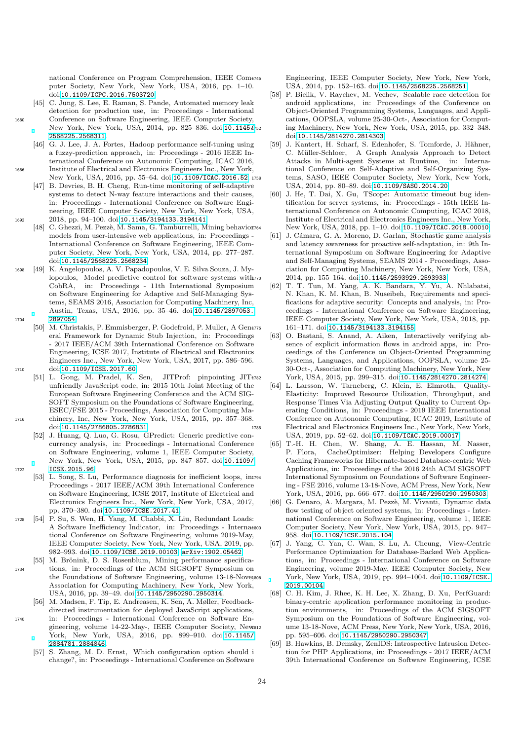national Conference on Program Comprehension, IEEE Com4746 puter Society, New York, New York, USA, 2016, pp. 1–10. doi:[10.1109/ICPC.2016.7503720](http://dx.doi.org/10.1109/ICPC.2016.7503720).

- <span id="page-23-0"></span>[45] C. Jung, S. Lee, E. Raman, S. Pande, Automated memory leak detection for production use, in: Proceedings - International <sup>1680</sup> Conference on Software Engineering, IEEE Computer Society, New York, New York, USA, 2014, pp. 825-836. doi:[10.1145/](http://dx.doi.org/10.1145/2568225.2568311)752 [2568225.2568311](http://dx.doi.org/10.1145/2568225.2568311).
- <span id="page-23-1"></span>[46] G. J. Lee, J. A. Fortes, Hadoop performance self-tuning using a fuzzy-prediction approach, in: Proceedings - 2016 IEEE International Conference on Autonomic Computing, ICAC 2016, <sup>1686</sup> Institute of Electrical and Electronics Engineers Inc., New York,
	- New York, USA, 2016, pp. 55-64. doi:[10.1109/ICAC.2016.52](http://dx.doi.org/10.1109/ICAC.2016.52).1758 [47] B. Devries, B. H. Cheng, Run-time monitoring of self-adaptive systems to detect N-way feature interactions and their causes, in: Proceedings - International Conference on Software Engineering, IEEE Computer Society, New York, New York, USA,
- <span id="page-23-3"></span><span id="page-23-2"></span><sup>1692</sup> 2018, pp. 94–100. doi:[10.1145/3194133.3194141](http://dx.doi.org/10.1145/3194133.3194141). C. Ghezzi, M. Pezzè, M. Sama, G. Tamburrelli, Mining behaviorz<sub>64</sub> models from user-intensive web applications, in: Proceedings - International Conference on Software Engineering, IEEE Computer Society, New York, New York, USA, 2014, pp. 277–287. doi:[10.1145/2568225.2568234](http://dx.doi.org/10.1145/2568225.2568234).
- <span id="page-23-4"></span><sup>1698</sup> [49] K. Angelopoulos, A. V. Papadopoulos, V. E. Silva Souza, J. Mylopoulos, Model predictive control for software systems with CobRA, in: Proceedings - 11th International Symposium on Software Engineering for Adaptive and Self-Managing Systems, SEAMS 2016, Association for Computing Machinery, Inc, Austin, Texas, USA, 2016, pp. 35–46. doi:[10.1145/2897053.](http://dx.doi.org/10.1145/2897053.2897054) 1704 [2897054](http://dx.doi.org/10.1145/2897053.2897054)
- <span id="page-23-5"></span>[50] M. Christakis, P. Emmisberger, P. Godefroid, P. Muller, A Gen4776 eral Framework for Dynamic Stub Injection, in: Proceedings - 2017 IEEE/ACM 39th International Conference on Software Engineering, ICSE 2017, Institute of Electrical and Electronics Engineers Inc., New York, New York, USA, 2017, pp. 586–596. 1710 doi:[10.1109/ICSE.2017.60](http://dx.doi.org/10.1109/ICSE.2017.60).
- <span id="page-23-6"></span>[51] L. Gong, M. Pradel, K. Sen, JITProf: pinpointing JITunfriendly JavaScript code, in: 2015 10th Joint Meeting of the European Software Engineering Conference and the ACM SIG-SOFT Symposium on the Foundations of Software Engineering, ESEC/FSE 2015 - Proceedings, Association for Computing Ma-<sup>1716</sup> chinery, Inc, New York, New York, USA, 2015, pp. 357–368. doi:[10.1145/2786805.2786831](http://dx.doi.org/10.1145/2786805.2786831).
- <span id="page-23-8"></span><span id="page-23-7"></span>[52] J. Huang, Q. Luo, G. Rosu, GPredict: Generic predictive concurrency analysis, in: Proceedings - International Conference on Software Engineering, volume 1, IEEE Computer Society, New York, New York, USA, 2015, pp. 847–857. doi:[10.1109/](http://dx.doi.org/10.1109/ICSE.2015.96) 1722 **ICSE. 2015.96.** 
	- [53] L. Song, S. Lu, Performance diagnosis for inefficient loops, in1794 Proceedings - 2017 IEEE/ACM 39th International Conference on Software Engineering, ICSE 2017, Institute of Electrical and Electronics Engineers Inc., New York, New York, USA, 2017, pp. 370–380. doi:[10.1109/ICSE.2017.41](http://dx.doi.org/10.1109/ICSE.2017.41).
- <span id="page-23-9"></span><sup>1728</sup> [54] P. Su, S. Wen, H. Yang, M. Chabbi, X. Liu, Redundant Loads: A Software Inefficiency Indicator, in: Proceedings - International Conference on Software Engineering, volume 2019-May, IEEE Computer Society, New York, New York, USA, 2019, pp. 982–993. doi:[10.1109/ICSE.2019.00103](http://dx.doi.org/10.1109/ICSE.2019.00103). [arXiv:1902.05462](http://arxiv.org/abs/1902.05462).
- <span id="page-23-10"></span>[55] M. Brönink, D. S. Rosenblum, Mining performance specifica-<sup>1734</sup> tions, in: Proceedings of the ACM SIGSOFT Symposium on the Foundations of Software Engineering, volume 13-18-Nove, Association for Computing Machinery, New York, New York, USA, 2016, pp. 39–49. doi:[10.1145/2950290.2950314](http://dx.doi.org/10.1145/2950290.2950314).
- <span id="page-23-12"></span><span id="page-23-11"></span>[56] M. Madsen, F. Tip, E. Andreasen, K. Sen, A. Møller, Feedbackdirected instrumentation for deployed JavaScript applications, <sup>1740</sup> in: Proceedings - International Conference on Software Engineering, volume 14-22-May-, IEEE Computer Society, New York, New York, USA, 2016, pp. 899–910. doi:[10.1145/](http://dx.doi.org/10.1145/2884781.2884846) [2884781.2884846](http://dx.doi.org/10.1145/2884781.2884846).
	- [57] S. Zhang, M. D. Ernst, Which configuration option should i change?, in: Proceedings - International Conference on Software

Engineering, IEEE Computer Society, New York, New York, USA, 2014, pp. 152–163. doi:[10.1145/2568225.2568251](http://dx.doi.org/10.1145/2568225.2568251).

- <span id="page-23-13"></span>[58] P. Bielik, V. Raychev, M. Vechev, Scalable race detection for android applications, in: Proceedings of the Conference on Object-Oriented Programming Systems, Languages, and Applications, OOPSLA, volume 25-30-Oct-, Association for Computing Machinery, New York, New York, USA, 2015, pp. 332–348. doi:[10.1145/2814270.2814303](http://dx.doi.org/10.1145/2814270.2814303).
- <span id="page-23-14"></span>[59] J. Kantert, H. Scharf, S. Edenhofer, S. Tomforde, J. Hähner, C. Müller-Schloer, A Graph Analysis Approach to Detect Attacks in Multi-agent Systems at Runtime, in: International Conference on Self-Adaptive and Self-Organizing Systems, SASO, IEEE Computer Society, New York, New York, USA, 2014, pp. 80–89. doi:[10.1109/SASO.2014.20](http://dx.doi.org/10.1109/SASO.2014.20).
- <span id="page-23-15"></span>[60] J. He, T. Dai, X. Gu, TScope: Automatic timeout bug identification for server systems, in: Proceedings - 15th IEEE International Conference on Autonomic Computing, ICAC 2018, Institute of Electrical and Electronics Engineers Inc., New York, New York, USA, 2018, pp. 1–10. doi:[10.1109/ICAC.2018.00010](http://dx.doi.org/10.1109/ICAC.2018.00010).
- <span id="page-23-16"></span>[61] J. Cámara, G. A. Moreno, D. Garlan, Stochastic game analysis and latency awareness for proactive self-adaptation, in: 9th International Symposium on Software Engineering for Adaptive and Self-Managing Systems, SEAMS 2014 - Proceedings, Association for Computing Machinery, New York, New York, USA, 2014, pp. 155–164. doi:[10.1145/2593929.2593933](http://dx.doi.org/10.1145/2593929.2593933).<br>[62] T. T. Tun, M. Yang, A. K. Bandara, Y. Yu, A.
- <span id="page-23-17"></span>[62] T. T. Tun, M. Yang, A. K. Bandara, Y. Yu, A. Nhlabatsi, N. Khan, K. M. Khan, B. Nuseibeh, Requirements and specifications for adaptive security: Concepts and analysis, in: Proceedings - International Conference on Software Engineering, IEEE Computer Society, New York, New York, USA, 2018, pp. 161–171. doi:[10.1145/3194133.3194155](http://dx.doi.org/10.1145/3194133.3194155).<br>[63] O Bastani S Anand A Aiken Inte
- <span id="page-23-18"></span>[63] O. Bastani, S. Anand, A. Aiken, Interactively verifying absence of explicit information flows in android apps, in: Proceedings of the Conference on Object-Oriented Programming Systems, Languages, and Applications, OOPSLA, volume 25- 30-Oct-, Association for Computing Machinery, New York, New York, USA, 2015, pp. 299-315. doi:[10.1145/2814270.2814274](http://dx.doi.org/10.1145/2814270.2814274).
- <span id="page-23-24"></span><span id="page-23-23"></span><span id="page-23-22"></span><span id="page-23-21"></span><span id="page-23-20"></span><span id="page-23-19"></span>[64] L. Larsson, W. Tarneberg, C. Klein, E. Elmroth, Quality-Elasticity: Improved Resource Utilization, Throughput, and Response Times Via Adjusting Output Quality to Current Operating Conditions, in: Proceedings - 2019 IEEE International Conference on Autonomic Computing, ICAC 2019, Institute of <sup>1788</sup> Electrical and Electronics Engineers Inc., New York, New York, USA, 2019, pp. 52–62. doi:[10.1109/ICAC.2019.00017](http://dx.doi.org/10.1109/ICAC.2019.00017).
	- [65] T.-H. H. Chen, W. Shang, A. E. Hassan, M. Nasser, P. Flora, CacheOptimizer: Helping Developers Configure Caching Frameworks for Hibernate-based Database-centric Web Applications, in: Proceedings of the 2016 24th ACM SIGSOFT International Symposium on Foundations of Software Engineering - FSE 2016, volume 13-18-Nove, ACM Press, New York, New York, USA, 2016, pp. 666–677. doi:[10.1145/2950290.2950303](http://dx.doi.org/10.1145/2950290.2950303).
	- [66] G. Denaro, A. Margara, M. Pezzè, M. Vivanti, Dynamic data flow testing of object oriented systems, in: Proceedings - International Conference on Software Engineering, volume 1, IEEE Computer Society, New York, New York, USA, 2015, pp. 947-958. doi:[10.1109/ICSE.2015.104](http://dx.doi.org/10.1109/ICSE.2015.104).
	- [67] J. Yang, C. Yan, C. Wan, S. Lu, A. Cheung, View-Centric Performance Optimization for Database-Backed Web Applications, in: Proceedings - International Conference on Software Engineering, volume 2019-May, IEEE Computer Society, New York, New York, USA, 2019, pp. 994-1004. doi:[10.1109/ICSE.](http://dx.doi.org/10.1109/ICSE.2019.00104) [2019.00104](http://dx.doi.org/10.1109/ICSE.2019.00104).
	- [68] C. H. Kim, J. Rhee, K. H. Lee, X. Zhang, D. Xu, PerfGuard: binary-centric application performance monitoring in production environments, in: Proceedings of the ACM SIGSOFT Symposium on the Foundations of Software Engineering, volume 13-18-Nove, ACM Press, New York, New York, USA, 2016, pp. 595–606. doi:[10.1145/2950290.2950347](http://dx.doi.org/10.1145/2950290.2950347).
	- [69] B. Hawkins, B. Demsky, ZenIDS: Introspective Intrusion Detection for PHP Applications, in: Proceedings - 2017 IEEE/ACM 39th International Conference on Software Engineering, ICSE